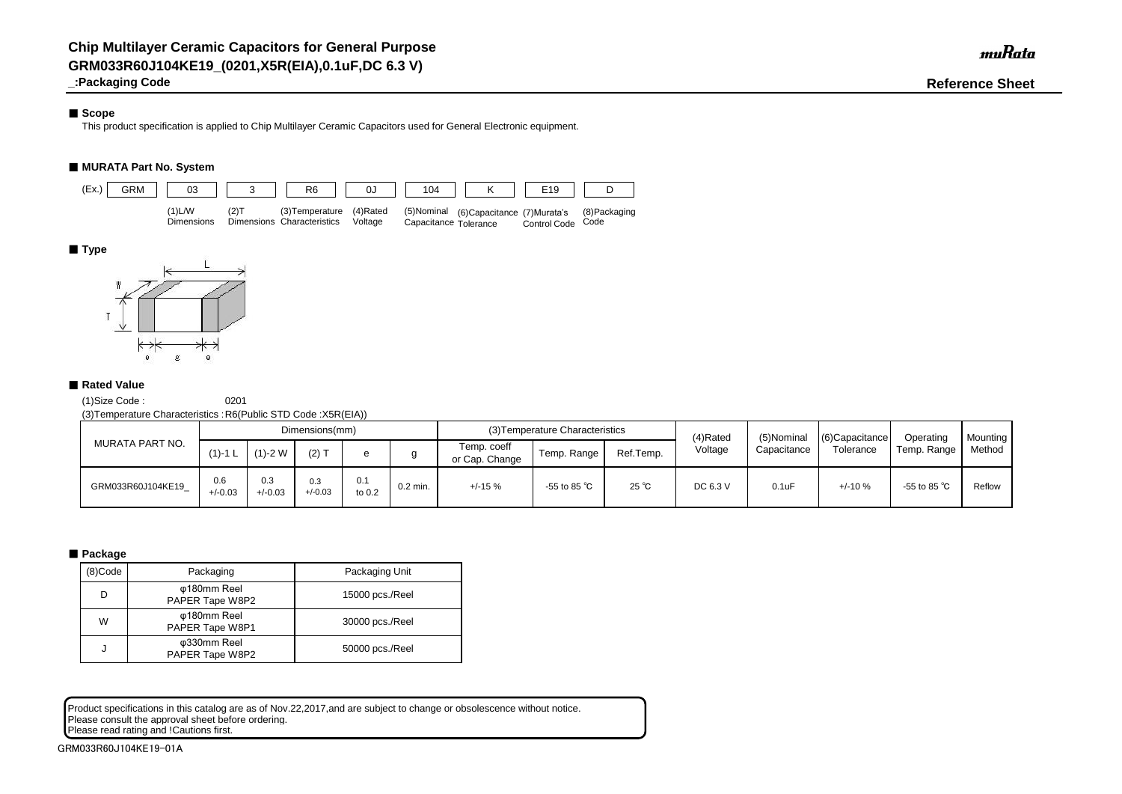# ■ Scope

**\_:Packaging Code Reference Sheet**

This product specification is applied to Chip Multilayer Ceramic Capacitors used for General Electronic equipment.

# ■ **MURATA Part No. System**

(1)Size Code : 0201

(3)Temperature Characteristics :R6(Public STD Code :X5R(EIA))

# ■ **Package**

Product specifications in this catalog are as of Nov.22,2017,and are subject to change or obsolescence without notice. Please consult the approval sheet before ordering.

Please read rating and !Cautions first.

| MURATA PART NO.   |                  |                  | Dimensions(mm)   |               |            |                               | (3) Temperature Characteristics |                | (4)Rated | (5)Nominal  | $(6)$ Capacitance<br>Tolerance | Operating              | <b>Mounting</b> |
|-------------------|------------------|------------------|------------------|---------------|------------|-------------------------------|---------------------------------|----------------|----------|-------------|--------------------------------|------------------------|-----------------|
|                   | $(1)$ -1 L       | $(1)-2$ W        | $(2)$ T          |               |            | Temp. coeff<br>or Cap. Change | Temp. Range                     | Ref.Temp.      | Voltage  | Capacitance |                                | Temp. Range            | Method          |
| GRM033R60J104KE19 | 0.6<br>$+/-0.03$ | 0.3<br>$+/-0.03$ | 0.3<br>$+/-0.03$ | 0.1<br>to 0.2 | $0.2$ min. | $+/-15%$                      | -55 to 85 $^{\circ}$ C          | $25^{\circ}$ C | DC 6.3 V | 0.1uF       | $+/-10%$                       | -55 to 85 $^{\circ}$ C | Reflow          |

| (8)Code | Packaging                      | Packaging Unit  |
|---------|--------------------------------|-----------------|
| D       | φ180mm Reel<br>PAPER Tape W8P2 | 15000 pcs./Reel |
| W       | φ180mm Reel<br>PAPER Tape W8P1 | 30000 pcs./Reel |
| J       | φ330mm Reel<br>PAPER Tape W8P2 | 50000 pcs./Reel |



# ■ **Type**



# ■ Rated Value

muRata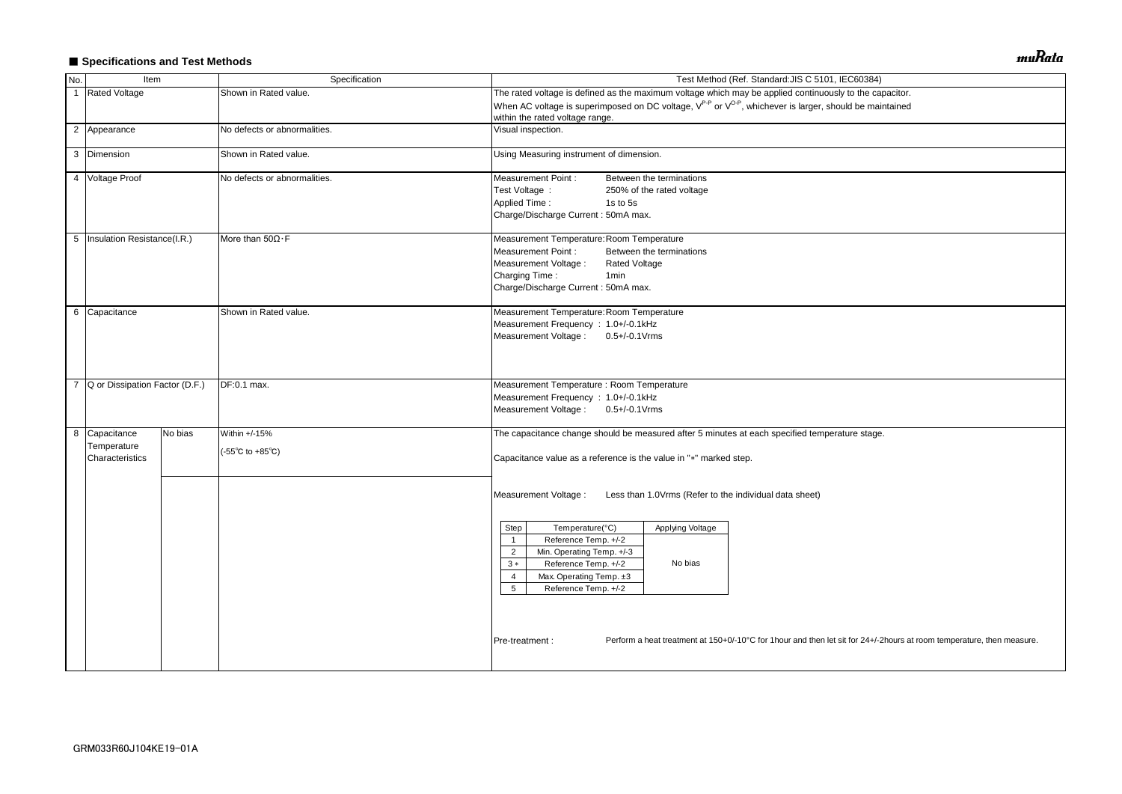# ■ Specifications and Test Methods

| No.            | Item                                            |         | Specification                                              | Test Method (Ref. Standard: JIS C 5101, IEC60384)                                                                                                                                                                                                                                                                                                                                                                                                                            |  |  |  |  |  |  |
|----------------|-------------------------------------------------|---------|------------------------------------------------------------|------------------------------------------------------------------------------------------------------------------------------------------------------------------------------------------------------------------------------------------------------------------------------------------------------------------------------------------------------------------------------------------------------------------------------------------------------------------------------|--|--|--|--|--|--|
| $\overline{1}$ | <b>Rated Voltage</b>                            |         | Shown in Rated value.                                      | The rated voltage is defined as the maximum voltage which may be applied continuously to the capacitor.                                                                                                                                                                                                                                                                                                                                                                      |  |  |  |  |  |  |
|                |                                                 |         |                                                            | When AC voltage is superimposed on DC voltage, V <sup>P-P</sup> or V <sup>O-P</sup> , whichever is larger, should be maintained<br>within the rated voltage range.                                                                                                                                                                                                                                                                                                           |  |  |  |  |  |  |
|                | 2 Appearance                                    |         | No defects or abnormalities.                               | Visual inspection.                                                                                                                                                                                                                                                                                                                                                                                                                                                           |  |  |  |  |  |  |
|                | 3 Dimension                                     |         | Shown in Rated value.                                      | Using Measuring instrument of dimension.                                                                                                                                                                                                                                                                                                                                                                                                                                     |  |  |  |  |  |  |
|                | 4 Voltage Proof                                 |         | No defects or abnormalities.                               | <b>Measurement Point:</b><br>Between the terminations<br>Test Voltage :<br>250% of the rated voltage<br>Applied Time:<br>1s to 5s<br>Charge/Discharge Current: 50mA max.                                                                                                                                                                                                                                                                                                     |  |  |  |  |  |  |
|                | 5   Insulation Resistance(I.R.)                 |         | More than $50\Omega \cdot F$                               | Measurement Temperature: Room Temperature<br><b>Measurement Point:</b><br>Between the terminations<br>Measurement Voltage :<br><b>Rated Voltage</b><br>Charging Time:<br>1 <sub>min</sub><br>Charge/Discharge Current: 50mA max.                                                                                                                                                                                                                                             |  |  |  |  |  |  |
|                | 6 Capacitance<br>Shown in Rated value.          |         |                                                            | Measurement Temperature: Room Temperature<br>Measurement Frequency : 1.0+/-0.1kHz<br>Measurement Voltage: 0.5+/-0.1 Vrms                                                                                                                                                                                                                                                                                                                                                     |  |  |  |  |  |  |
| $\overline{7}$ | Q or Dissipation Factor (D.F.)                  |         | DF:0.1 max.                                                | Measurement Temperature : Room Temperature<br>Measurement Frequency : 1.0+/-0.1kHz<br>Measurement Voltage: 0.5+/-0.1Vrms                                                                                                                                                                                                                                                                                                                                                     |  |  |  |  |  |  |
|                | 8 Capacitance<br>Temperature<br>Characteristics | No bias | Within +/-15%<br>$(-55^{\circ}C \text{ to } +85^{\circ}C)$ | The capacitance change should be measured after 5 minutes at each specified temperature stage.<br>Capacitance value as a reference is the value in "*" marked step.                                                                                                                                                                                                                                                                                                          |  |  |  |  |  |  |
|                |                                                 |         |                                                            | Measurement Voltage :<br>Less than 1.0Vrms (Refer to the individual data sheet)<br>Temperature(°C)<br>Applying Voltage<br>Step<br>Reference Temp. +/-2<br>$\overline{1}$<br>Min. Operating Temp. +/-3<br>$\overline{2}$<br>Reference Temp. +/-2<br>No bias<br>$3 *$<br>Max. Operating Temp. ±3<br>4<br>5<br>Reference Temp. +/-2<br>Perform a heat treatment at 150+0/-10°C for 1hour and then let sit for 24+/-2hours at room temperature, then measure.<br>Pre-treatment : |  |  |  |  |  |  |
|                |                                                 |         |                                                            |                                                                                                                                                                                                                                                                                                                                                                                                                                                                              |  |  |  |  |  |  |

muRata

| acitor.                                 |  |
|-----------------------------------------|--|
| tained                                  |  |
|                                         |  |
|                                         |  |
|                                         |  |
|                                         |  |
|                                         |  |
|                                         |  |
|                                         |  |
|                                         |  |
|                                         |  |
|                                         |  |
|                                         |  |
|                                         |  |
|                                         |  |
|                                         |  |
|                                         |  |
|                                         |  |
|                                         |  |
|                                         |  |
|                                         |  |
|                                         |  |
|                                         |  |
|                                         |  |
|                                         |  |
|                                         |  |
|                                         |  |
|                                         |  |
|                                         |  |
|                                         |  |
|                                         |  |
|                                         |  |
|                                         |  |
|                                         |  |
|                                         |  |
|                                         |  |
|                                         |  |
|                                         |  |
|                                         |  |
|                                         |  |
| ours at room temperature, then measure. |  |
|                                         |  |
|                                         |  |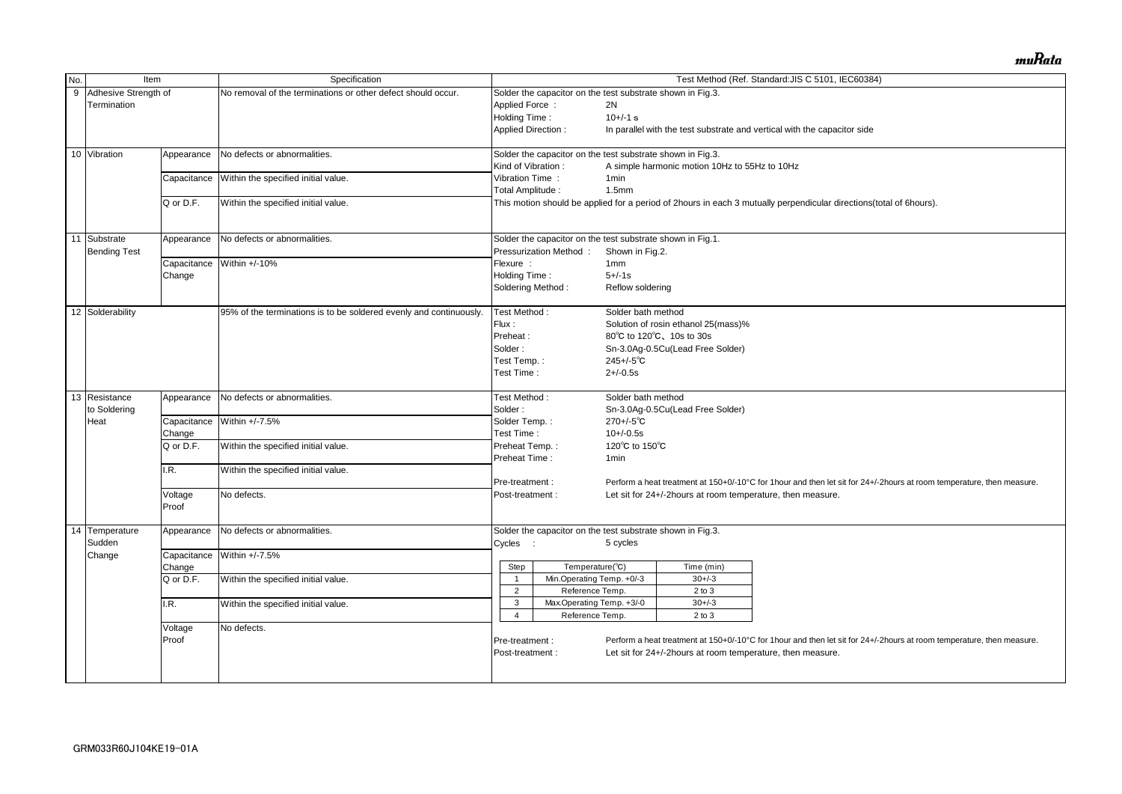| No. | Item                 |             | Specification                                                      |                           |                                                            |                    |                                                            | Test Method (Ref. Standard: JIS C 5101, IEC60384)                                                                     |  |  |  |
|-----|----------------------|-------------|--------------------------------------------------------------------|---------------------------|------------------------------------------------------------|--------------------|------------------------------------------------------------|-----------------------------------------------------------------------------------------------------------------------|--|--|--|
| 9   | Adhesive Strength of |             | No removal of the terminations or other defect should occur.       |                           | Solder the capacitor on the test substrate shown in Fig.3. |                    |                                                            |                                                                                                                       |  |  |  |
|     | Termination          |             |                                                                    | Applied Force:            |                                                            | 2N                 |                                                            |                                                                                                                       |  |  |  |
|     |                      |             |                                                                    |                           |                                                            | $10+/-1$ s         |                                                            |                                                                                                                       |  |  |  |
|     |                      |             |                                                                    | Holding Time:             |                                                            |                    |                                                            |                                                                                                                       |  |  |  |
|     |                      |             |                                                                    | <b>Applied Direction:</b> |                                                            |                    |                                                            | In parallel with the test substrate and vertical with the capacitor side                                              |  |  |  |
|     | 10 Vibration         | Appearance  | No defects or abnormalities.                                       |                           | Solder the capacitor on the test substrate shown in Fig.3. |                    |                                                            |                                                                                                                       |  |  |  |
|     |                      |             |                                                                    | Kind of Vibration:        |                                                            |                    | A simple harmonic motion 10Hz to 55Hz to 10Hz              |                                                                                                                       |  |  |  |
|     |                      | Capacitance | Within the specified initial value.                                | Vibration Time:           |                                                            | 1 <sub>min</sub>   |                                                            |                                                                                                                       |  |  |  |
|     |                      |             |                                                                    | Total Amplitude:          |                                                            | 1.5 <sub>mm</sub>  |                                                            |                                                                                                                       |  |  |  |
|     |                      | Q or D.F.   | Within the specified initial value.                                |                           |                                                            |                    |                                                            | This motion should be applied for a period of 2hours in each 3 mutually perpendicular directions(total of 6hours).    |  |  |  |
|     |                      |             |                                                                    |                           |                                                            |                    |                                                            |                                                                                                                       |  |  |  |
|     | 11 Substrate         | Appearance  | No defects or abnormalities.                                       |                           | Solder the capacitor on the test substrate shown in Fig.1. |                    |                                                            |                                                                                                                       |  |  |  |
|     | <b>Bending Test</b>  |             |                                                                    |                           | Pressurization Method:                                     | Shown in Fig.2.    |                                                            |                                                                                                                       |  |  |  |
|     |                      | Capacitance | Within +/-10%                                                      | Flexure :                 |                                                            | 1 <sub>mm</sub>    |                                                            |                                                                                                                       |  |  |  |
|     |                      | Change      |                                                                    | Holding Time:             |                                                            | $5 + (-1s)$        |                                                            |                                                                                                                       |  |  |  |
|     |                      |             |                                                                    |                           |                                                            |                    |                                                            |                                                                                                                       |  |  |  |
|     |                      |             |                                                                    | Soldering Method:         |                                                            | Reflow soldering   |                                                            |                                                                                                                       |  |  |  |
|     | 12 Solderability     |             | 95% of the terminations is to be soldered evenly and continuously. |                           | Test Method:                                               | Solder bath method |                                                            |                                                                                                                       |  |  |  |
|     |                      |             |                                                                    | Flux:                     |                                                            |                    | Solution of rosin ethanol 25(mass)%                        |                                                                                                                       |  |  |  |
|     |                      |             |                                                                    | Preheat:                  |                                                            |                    | 80°C to 120°C, 10s to 30s                                  |                                                                                                                       |  |  |  |
|     |                      |             |                                                                    | Solder:                   |                                                            |                    | Sn-3.0Ag-0.5Cu(Lead Free Solder)                           |                                                                                                                       |  |  |  |
|     |                      |             |                                                                    | Test Temp.:               |                                                            | $245 + (-5)$ °C    |                                                            |                                                                                                                       |  |  |  |
|     |                      |             |                                                                    | Test Time:                |                                                            | $2 + (-0.5s)$      |                                                            |                                                                                                                       |  |  |  |
|     |                      |             |                                                                    |                           |                                                            |                    |                                                            |                                                                                                                       |  |  |  |
|     | 13 Resistance        | Appearance  | No defects or abnormalities.                                       | Test Method:              |                                                            | Solder bath method |                                                            |                                                                                                                       |  |  |  |
|     | to Soldering         |             |                                                                    | Solder:                   |                                                            |                    | Sn-3.0Ag-0.5Cu(Lead Free Solder)                           |                                                                                                                       |  |  |  |
|     | Heat                 | Capacitance | Within +/-7.5%                                                     | Solder Temp.:             |                                                            | $270 + (-5)$ °C    |                                                            |                                                                                                                       |  |  |  |
|     |                      | Change      |                                                                    | Test Time:                |                                                            | $10+/-0.5s$        |                                                            |                                                                                                                       |  |  |  |
|     |                      | Q or D.F.   | Within the specified initial value.                                |                           | Preheat Temp.:                                             |                    | 120°C to 150°C                                             |                                                                                                                       |  |  |  |
|     |                      |             |                                                                    | Preheat Time:             |                                                            | 1min               |                                                            |                                                                                                                       |  |  |  |
|     |                      | .R.         | Within the specified initial value.                                |                           |                                                            |                    |                                                            |                                                                                                                       |  |  |  |
|     |                      |             |                                                                    | Pre-treatment :           |                                                            |                    |                                                            | Perform a heat treatment at 150+0/-10°C for 1hour and then let sit for 24+/-2hours at room temperature, then measure. |  |  |  |
|     |                      | Voltage     | No defects.                                                        | Post-treatment :          |                                                            |                    | Let sit for 24+/-2hours at room temperature, then measure. |                                                                                                                       |  |  |  |
|     |                      | Proof       |                                                                    |                           |                                                            |                    |                                                            |                                                                                                                       |  |  |  |
|     |                      |             |                                                                    |                           |                                                            |                    |                                                            |                                                                                                                       |  |  |  |
|     | 14 Temperature       | Appearance  | No defects or abnormalities.                                       |                           | Solder the capacitor on the test substrate shown in Fig.3. |                    |                                                            |                                                                                                                       |  |  |  |
|     | Sudden               |             |                                                                    | Cycles :                  |                                                            | 5 cycles           |                                                            |                                                                                                                       |  |  |  |
|     | Change               |             | Capacitance Within +/-7.5%                                         |                           |                                                            |                    |                                                            |                                                                                                                       |  |  |  |
|     |                      | Change      |                                                                    | Step                      | Temperature( $\overline{c}$ )                              |                    | Time (min)                                                 |                                                                                                                       |  |  |  |
|     |                      | Q or D.F.   | Within the specified initial value.                                |                           | Min.Operating Temp. +0/-3                                  |                    | $30 + (-3)$                                                |                                                                                                                       |  |  |  |
|     |                      |             |                                                                    | $\overline{2}$            | Reference Temp.                                            |                    | $2$ to $3$                                                 |                                                                                                                       |  |  |  |
|     |                      | I.R.        | Within the specified initial value.                                | 3                         | Max Operating Temp. +3/-0                                  |                    | $30 + (-3)$                                                |                                                                                                                       |  |  |  |
|     |                      |             |                                                                    | 4                         | Reference Temp.                                            |                    | $2$ to $3$                                                 |                                                                                                                       |  |  |  |
|     |                      |             |                                                                    |                           |                                                            |                    |                                                            |                                                                                                                       |  |  |  |
|     |                      | Voltage     | No defects.                                                        |                           |                                                            |                    |                                                            |                                                                                                                       |  |  |  |
|     |                      | Proof       |                                                                    | Pre-treatment :           |                                                            |                    |                                                            | Perform a heat treatment at 150+0/-10°C for 1hour and then let sit for 24+/-2hours at room temperature, then measure. |  |  |  |
|     |                      |             |                                                                    | Post-treatment:           |                                                            |                    |                                                            | Let sit for 24+/-2hours at room temperature, then measure.                                                            |  |  |  |
|     |                      |             |                                                                    |                           |                                                            |                    |                                                            |                                                                                                                       |  |  |  |
|     |                      |             |                                                                    |                           |                                                            |                    |                                                            |                                                                                                                       |  |  |  |

muRata

| al of 6hours).                          |
|-----------------------------------------|
|                                         |
|                                         |
|                                         |
|                                         |
|                                         |
|                                         |
|                                         |
|                                         |
|                                         |
|                                         |
|                                         |
|                                         |
|                                         |
|                                         |
|                                         |
|                                         |
|                                         |
|                                         |
|                                         |
|                                         |
|                                         |
|                                         |
| ours at room temperature, then measure. |
|                                         |
|                                         |
|                                         |
|                                         |
|                                         |
|                                         |
|                                         |
|                                         |
|                                         |
|                                         |
|                                         |
|                                         |
| ours at room temperature, then measure. |
|                                         |
|                                         |
|                                         |
|                                         |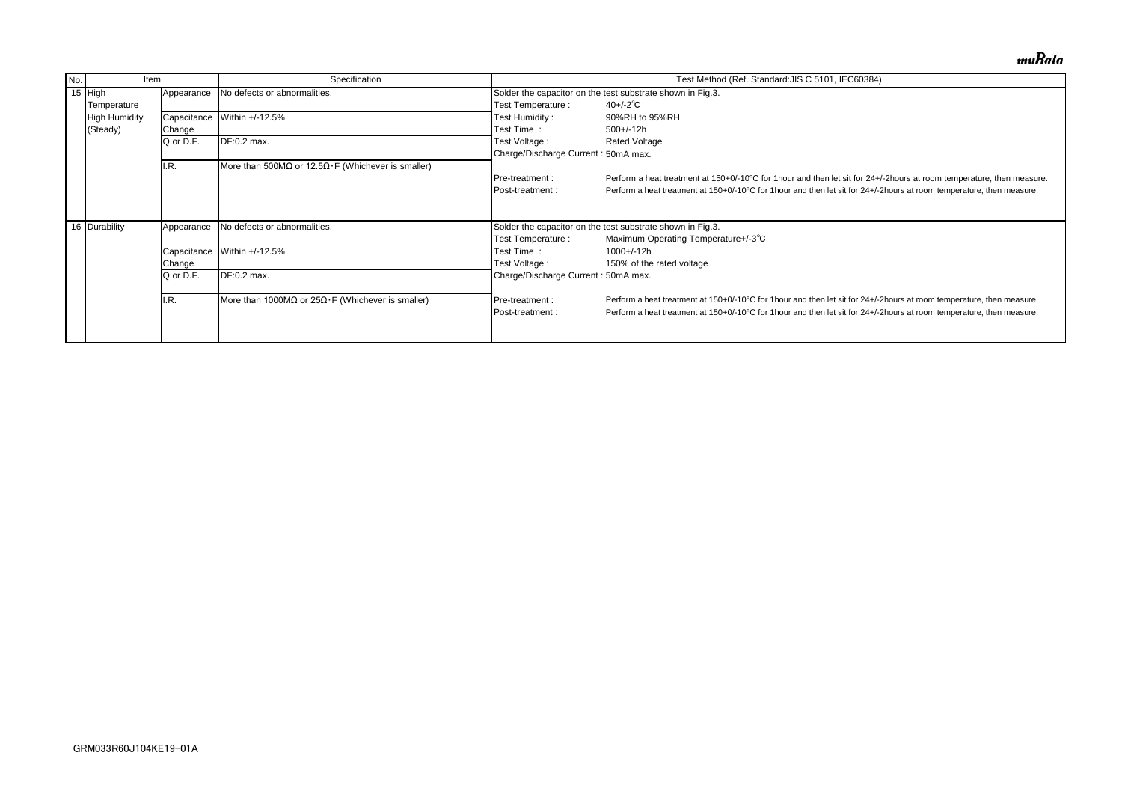| Test Method (Ref. Standard: JIS C 5101, IEC60384)                                                                       | Specification                                             | Item                                | No. |
|-------------------------------------------------------------------------------------------------------------------------|-----------------------------------------------------------|-------------------------------------|-----|
| Solder the capacitor on the test substrate shown in Fig.3.                                                              | No defects or abnormalities.                              | 15 High<br>Appearance               |     |
| $40 + (-2)^\circ \text{C}$<br>Test Temperature :                                                                        |                                                           | Temperature                         |     |
| Test Humidity:<br>90%RH to 95%RH                                                                                        | Within +/-12.5%                                           | <b>High Humidity</b><br>Capacitance |     |
| Test Time:<br>$500+/-12h$                                                                                               |                                                           | (Steady)<br>Change                  |     |
| Test Voltage :<br><b>Rated Voltage</b>                                                                                  | DF:0.2 max.                                               | Q or D.F.                           |     |
| Charge/Discharge Current: 50mA max.                                                                                     |                                                           |                                     |     |
|                                                                                                                         | More than 500MΩ or 12.5Ω $\cdot$ F (Whichever is smaller) | I.R.                                |     |
| Perform a heat treatment at 150+0/-10°C for 1 hour and then let sit for 24+/-<br>Pre-treatment:                         |                                                           |                                     |     |
| Perform a heat treatment at 150+0/-10°C for 1 hour and then let sit for 24+/-2<br>Post-treatment:                       |                                                           |                                     |     |
|                                                                                                                         |                                                           |                                     |     |
|                                                                                                                         | No defects or abnormalities.                              |                                     |     |
|                                                                                                                         |                                                           |                                     |     |
| Test Time:<br>$1000 + (-12h)$                                                                                           | Within +/-12.5%                                           | Capacitance                         |     |
| Test Voltage :<br>150% of the rated voltage                                                                             |                                                           | Change                              |     |
| Charge/Discharge Current: 50mA max.                                                                                     | DF:0.2 max.                                               | Q or D.F.                           |     |
| Perform a heat treatment at 150+0/-10°C for 1 hour and then let sit for 24+/-2<br>Pre-treatment :                       |                                                           | I.R.                                |     |
| Perform a heat treatment at 150+0/-10°C for 1 hour and then let sit for 24+/-2<br>Post-treatment :                      |                                                           |                                     |     |
|                                                                                                                         |                                                           |                                     |     |
| Solder the capacitor on the test substrate shown in Fig.3.<br>Maximum Operating Temperature+/-3°C<br>Test Temperature : | More than 1000MΩ or $25Ω·F$ (Whichever is smaller)        | 16 Durability<br>Appearance         |     |

muRata

/-2hours at room temperature, then measure. Phours at room temperature, then measure.

Phours at room temperature, then measure. Phours at room temperature, then measure.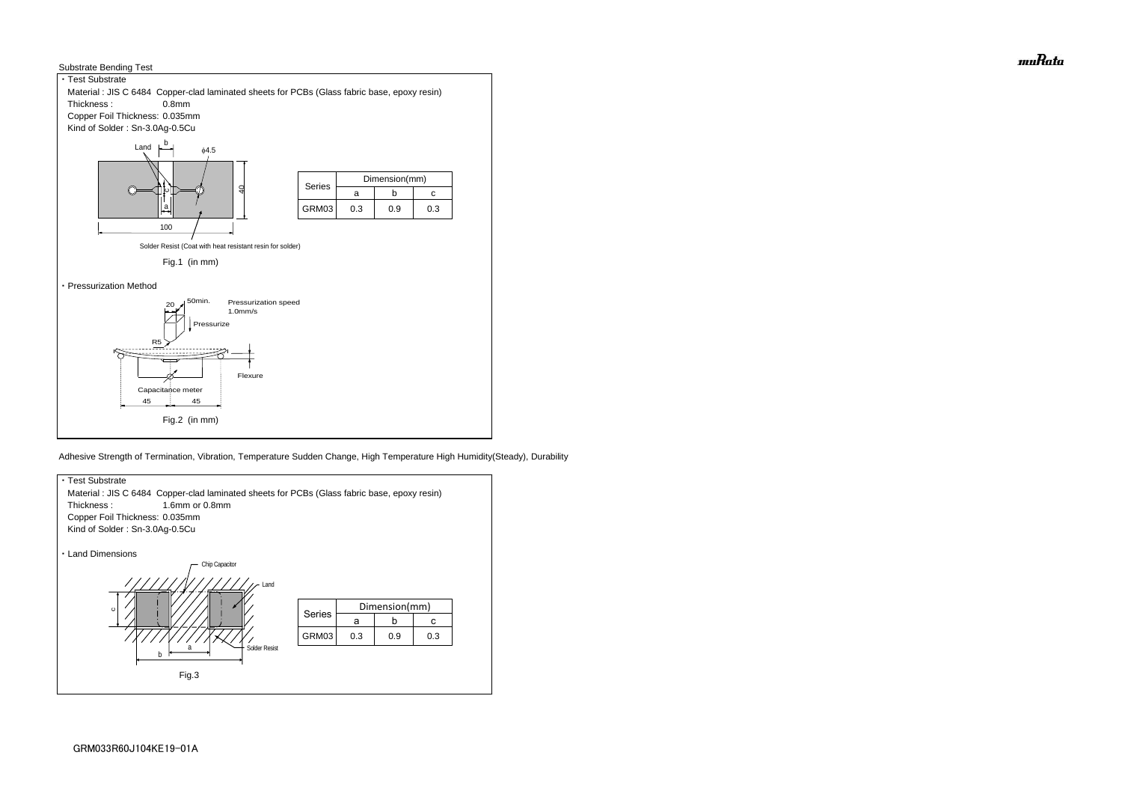



Adhesive Strength of Termination, Vibration, Temperature Sudden Change, High Temperature High Humidity(Steady), Durability



muRata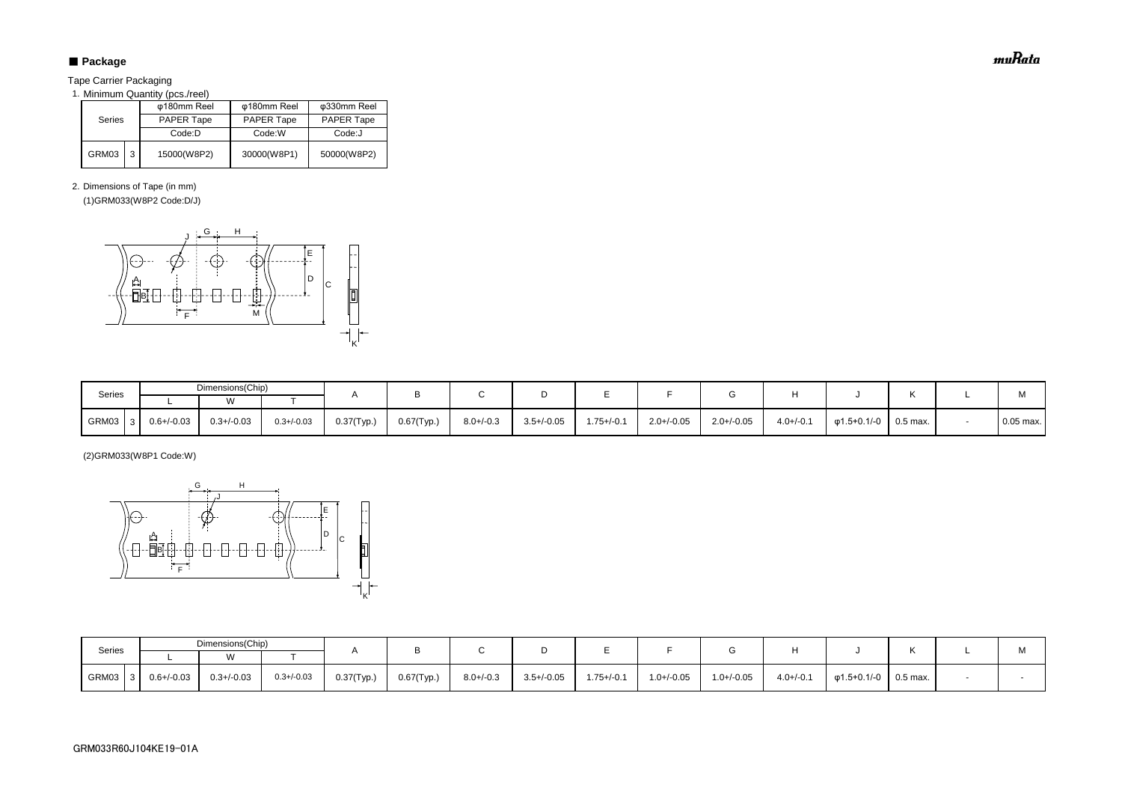# ■ Package

Tape Carrier Packaging

1. Minimum Quantity (pcs./reel)

2. Dimensions of Tape (in mm)

(1)GRM033(W8P2 Code:D/J)

(2)GRM033(W8P1 Code:W)

| <b>Series</b> |   | φ180mm Reel       | φ180mm Reel       | φ330mm Reel       |  |  |
|---------------|---|-------------------|-------------------|-------------------|--|--|
|               |   | <b>PAPER Tape</b> | <b>PAPER Tape</b> | <b>PAPER Tape</b> |  |  |
|               |   | Code:D            | Code:W            | Code:J            |  |  |
| GRM03         | 3 | 15000(W8P2)       | 30000(W8P1)       | 50000(W8P2)       |  |  |

| Series        | Dimensions(Chip) |                 |                 |               |               |                |                 |                 |                 |                 |                |             |          | $\mathbf{A}$ |
|---------------|------------------|-----------------|-----------------|---------------|---------------|----------------|-----------------|-----------------|-----------------|-----------------|----------------|-------------|----------|--------------|
|               |                  |                 |                 |               |               |                |                 |                 |                 |                 |                |             |          | IVI.         |
| GRM03<br>-3 I | $0.6 + (-0.03)$  | $0.3 + (-0.03)$ | $0.3 + / -0.03$ | $0.37$ (Typ.) | $0.67$ (Typ.) | $8.0 + (-0.3)$ | $3.5 + / -0.05$ | $1.75 + (-0.1)$ | $1.0 + / -0.05$ | $1.0 + (-0.05)$ | $4.0 + (-0.1)$ | φ1.5+0.1/-0 | 0.5 max. |              |

| Series | Dimensions(Chip) |                 |                 |               |               |                |                 |                 |                 |                 |                |                   |            | M           |
|--------|------------------|-----------------|-----------------|---------------|---------------|----------------|-----------------|-----------------|-----------------|-----------------|----------------|-------------------|------------|-------------|
|        |                  |                 |                 |               |               |                |                 |                 |                 |                 |                |                   |            |             |
| GRM03  | $0.6 + / -0.03$  | $0.3 + (-0.03)$ | $0.3 + / -0.03$ | $0.37$ (Typ.) | $0.67$ (Typ.) | $8.0 + / -0.3$ | $3.5 + / -0.05$ | $1.75 + (-0.1)$ | $2.0 + (-0.05)$ | $2.0 + / -0.05$ | $4.0 + (-0.1)$ | $\phi$ 1.5+0.1/-0 | $0.5$ max. | $0.05$ max. |



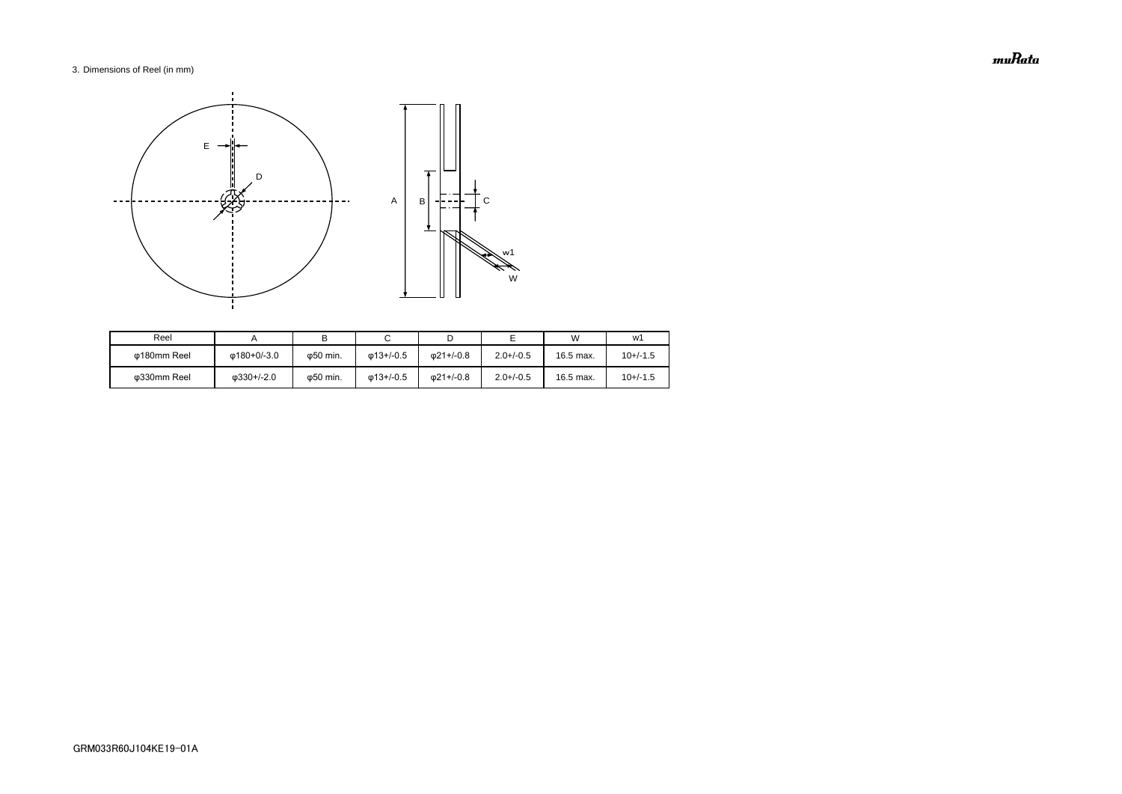# 3. Dimensions of Reel (in mm)

| Reel        |                    |                   |                   |                   |                | W         | w1         |
|-------------|--------------------|-------------------|-------------------|-------------------|----------------|-----------|------------|
| ω180mm Reel | Φ180+0/-3.0        | ω50 min.          | $\omega$ 13+/-0.5 | $\omega$ 21+/-0.8 | $2.0 + (-0.5)$ | 16.5 max. | $10+/-1.5$ |
| Φ330mm Reel | $\omega$ 330+/-2.0 | $\varphi$ 50 min. | $\omega$ 13+/-0.5 | 021+/-0.8         | $2.0 + (-0.5)$ | 16.5 max. | $10+/-1.5$ |



muRata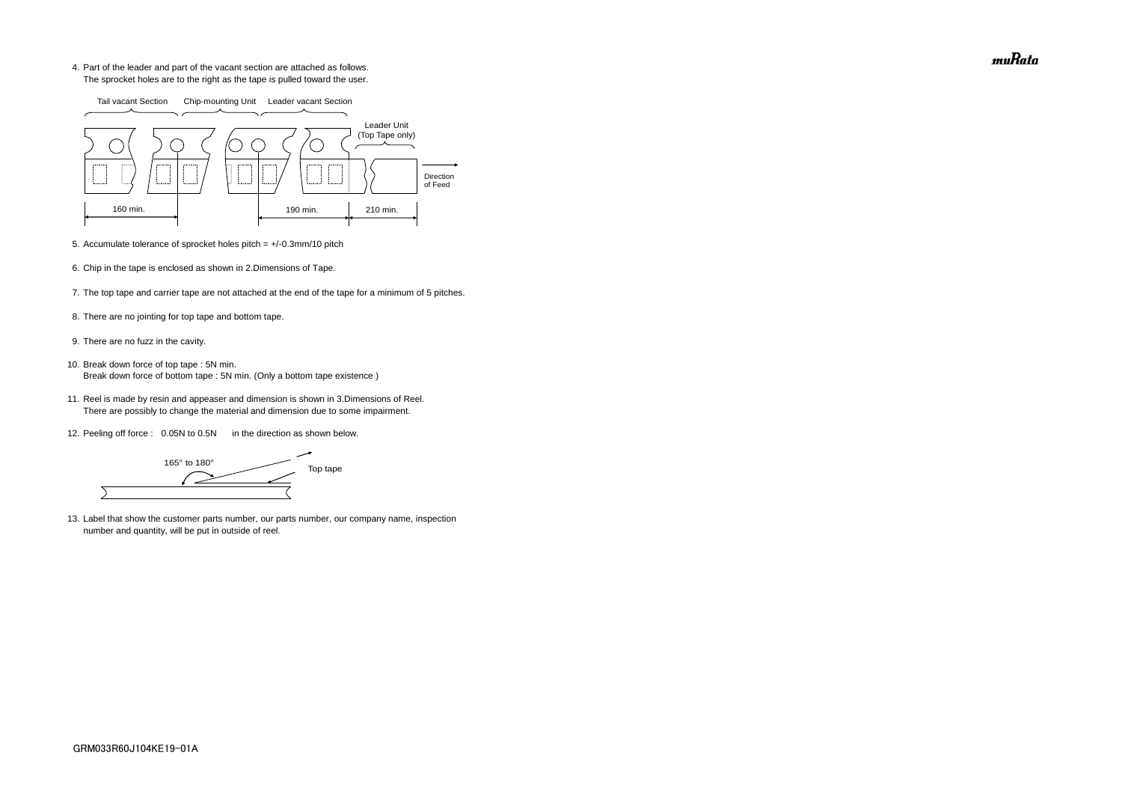4. Part of the leader and part of the vacant section are attached as follows. The sprocket holes are to the right as the tape is pulled toward the user.

- 5. Accumulate tolerance of sprocket holes pitch = +/-0.3mm/10 pitch
- 6. Chip in the tape is enclosed as shown in 2.Dimensions of Tape.
- 7. The top tape and carrier tape are not attached at the end of the tape for a minimum of 5 pitches.
- 8. There are no jointing for top tape and bottom tape.
- 9. There are no fuzz in the cavity.
- 10. Break down force of top tape : 5N min. Break down force of bottom tape : 5N min. (Only a bottom tape existence)
	- 11. Reel is made by resin and appeaser and dimension is shown in 3.Dimensions of Reel. There are possibly to change the material and dimension due to some impairment.
	- 12. Peeling off force : 0.05N to 0.5N in the direction as shown below.

165° to 180° Top tape  $\overline{\phantom{0}}$ 

13. Label that show the customer parts number, our parts number, our company name, inspection number and quantity, will be put in outside of reel.



muRata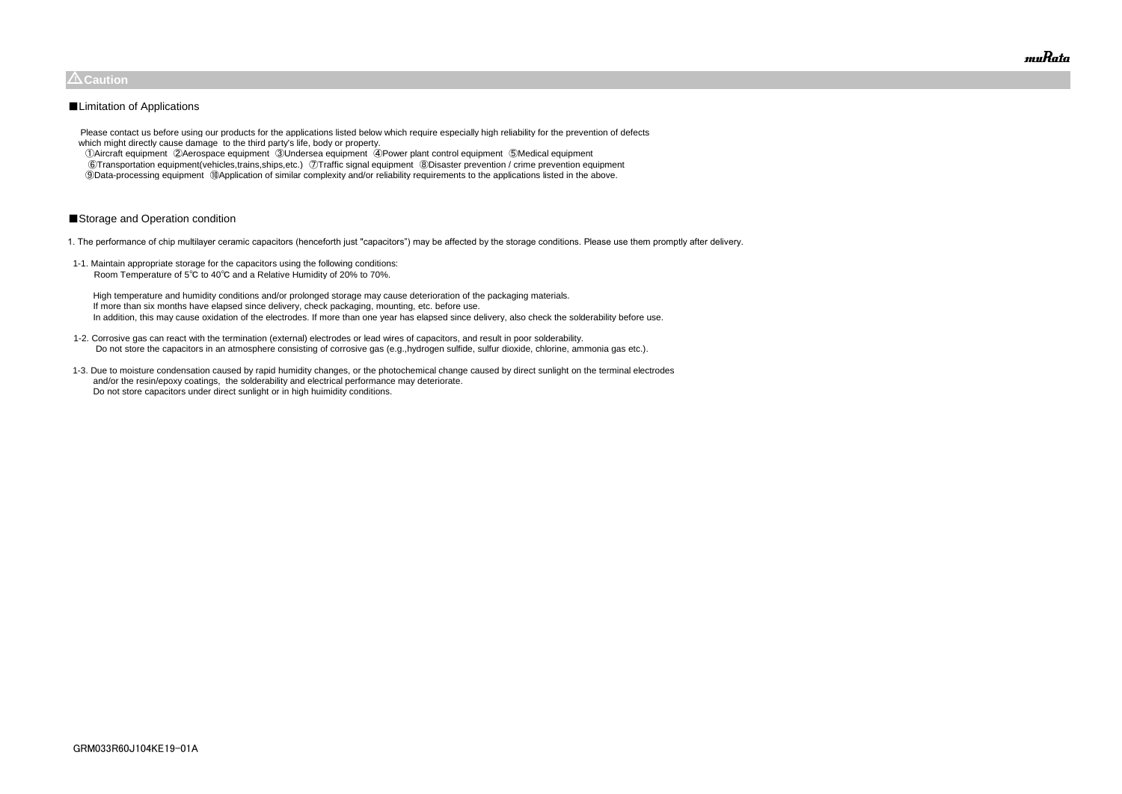Please contact us before using our products for the applications listed below which require especially high reliability for the prevention of defects which might directly cause damage to the third party's life, body or property.

 ①Aircraft equipment ②Aerospace equipment ③Undersea equipment ④Power plant control equipment ⑤Medical equipment ⑥Transportation equipment(vehicles,trains,ships,etc.) ⑦Traffic signal equipment ⑧Disaster prevention / crime prevention equipment ⑨Data-processing equipment ⑩Application of similar complexity and/or reliability requirements to the applications listed in the above.

# ■Storage and Operation condition

1. The performance of chip multilayer ceramic capacitors (henceforth just "capacitors") may be affected by the storage conditions. Please use them promptly after delivery.

1-1. Maintain appropriate storage for the capacitors using the following conditions: Room Temperature of 5℃ to 40℃ and a Relative Humidity of 20% to 70%.

 High temperature and humidity conditions and/or prolonged storage may cause deterioration of the packaging materials. If more than six months have elapsed since delivery, check packaging, mounting, etc. before use. In addition, this may cause oxidation of the electrodes. If more than one year has elapsed since delivery, also check the solderability before use.

- 1-2. Corrosive gas can react with the termination (external) electrodes or lead wires of capacitors, and result in poor solderability. Do not store the capacitors in an atmosphere consisting of corrosive gas (e.g.,hydrogen sulfide, sulfur dioxide, chlorine, ammonia gas etc.).
- 1-3. Due to moisture condensation caused by rapid humidity changes, or the photochemical change caused by direct sunlight on the terminal electrodes and/or the resin/epoxy coatings, the solderability and electrical performance may deteriorate. Do not store capacitors under direct sunlight or in high huimidity conditions.



# $\triangle$ Caution

# ■Limitation of Applications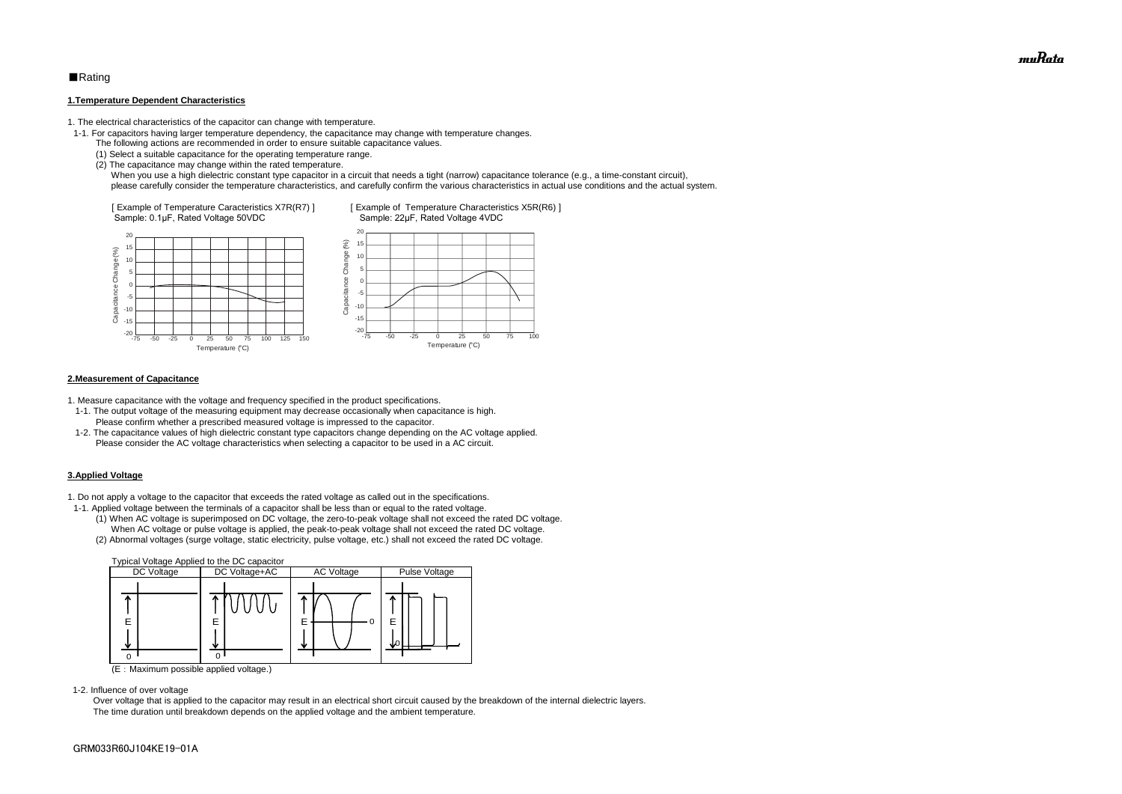# ■Rating

#### **1.Temperature Dependent Characteristics**

1. The electrical characteristics of the capacitor can change with temperature.

- 1-1. For capacitors having larger temperature dependency, the capacitance may change with temperature changes.
	- The following actions are recommended in order to ensure suitable capacitance values.
	- (1) Select a suitable capacitance for the operating temperature range.
	- (2) The capacitance may change within the rated temperature.

When you use a high dielectric constant type capacitor in a circuit that needs a tight (narrow) capacitance tolerance (e.g., a time-constant circuit), please carefully consider the temperature characteristics, and carefully confirm the various characteristics in actual use conditions and the actual system.

#### **2.Measurement of Capacitance**

1. Measure capacitance with the voltage and frequency specified in the product specifications.

- 1-1. The output voltage of the measuring equipment may decrease occasionally when capacitance is high. Please confirm whether a prescribed measured voltage is impressed to the capacitor.
- 1-2. The capacitance values of high dielectric constant type capacitors change depending on the AC voltage applied. Please consider the AC voltage characteristics when selecting a capacitor to be used in a AC circuit.

#### **3.Applied Voltage**

1. Do not apply a voltage to the capacitor that exceeds the rated voltage as called out in the specifications.



- 1-1. Applied voltage between the terminals of a capacitor shall be less than or equal to the rated voltage.
	- (1) When AC voltage is superimposed on DC voltage, the zero-to-peak voltage shall not exceed the rated DC voltage. When AC voltage or pulse voltage is applied, the peak-to-peak voltage shall not exceed the rated DC voltage.
	- (2) Abnormal voltages (surge voltage, static electricity, pulse voltage, etc.) shall not exceed the rated DC voltage.



(E:Maximum possible applied voltage.)

1-2. Influence of over voltage

 Over voltage that is applied to the capacitor may result in an electrical short circuit caused by the breakdown of the internal dielectric layers. The time duration until breakdown depends on the applied voltage and the ambient temperature.

muRata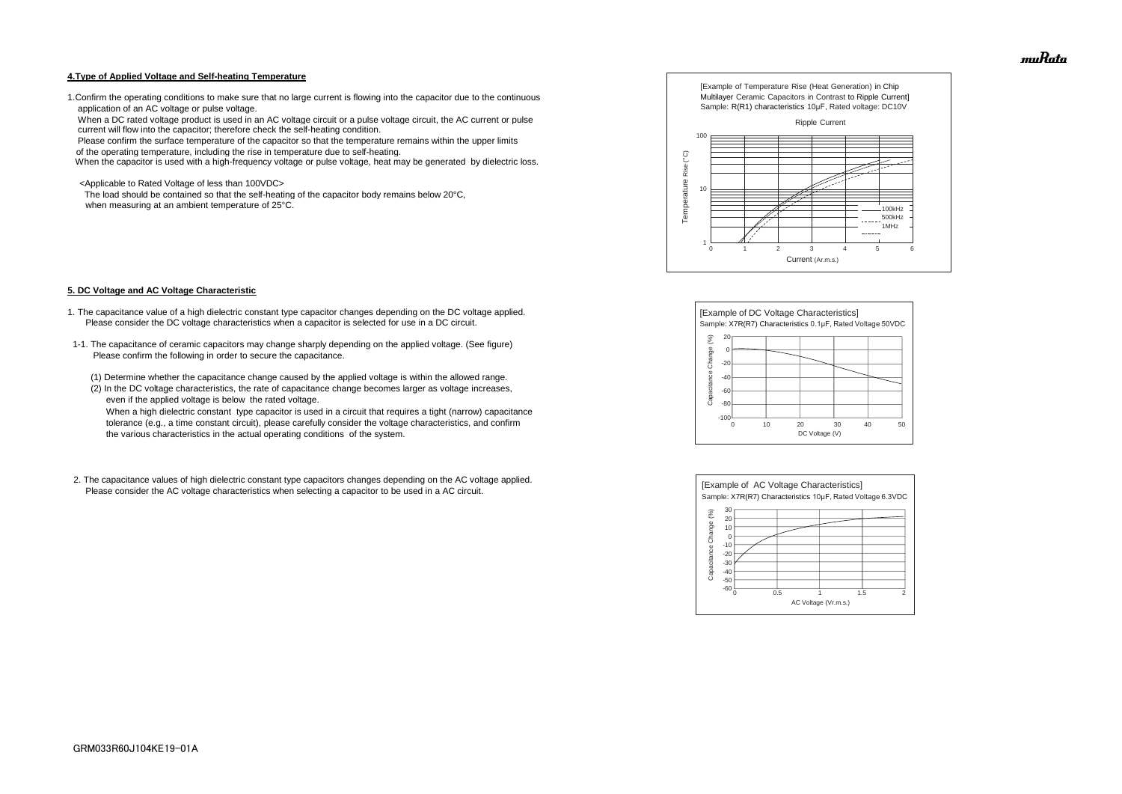#### **4.Type of Applied Voltage and Self-heating Temperature**

1.Confirm the operating conditions to make sure that no large current is flowing into the capacitor due to the continuous application of an AC voltage or pulse voltage.

 When a DC rated voltage product is used in an AC voltage circuit or a pulse voltage circuit, the AC current or pulse current will flow into the capacitor; therefore check the self-heating condition.

Please confirm the surface temperature of the capacitor so that the temperature remains within the upper limits

of the operating temperature, including the rise in temperature due to self-heating.

When the capacitor is used with a high-frequency voltage or pulse voltage, heat may be generated by dielectric loss.

<Applicable to Rated Voltage of less than 100VDC>

 The load should be contained so that the self-heating of the capacitor body remains below 20°C, when measuring at an ambient temperature of 25°C.

#### **5. DC Voltage and AC Voltage Characteristic**

- 1. The capacitance value of a high dielectric constant type capacitor changes depending on the DC voltage applied. Please consider the DC voltage characteristics when a capacitor is selected for use in a DC circuit.
- 1-1. The capacitance of ceramic capacitors may change sharply depending on the applied voltage. (See figure) Please confirm the following in order to secure the capacitance.
	- (1) Determine whether the capacitance change caused by the applied voltage is within the allowed range.
	- (2) In the DC voltage characteristics, the rate of capacitance change becomes larger as voltage increases, even if the applied voltage is below the rated voltage.

 When a high dielectric constant type capacitor is used in a circuit that requires a tight (narrow) capacitance tolerance (e.g., a time constant circuit), please carefully consider the voltage characteristics, and confirm the various characteristics in the actual operating conditions of the system.

2. The capacitance values of high dielectric constant type capacitors changes depending on the AC voltage applied. Please consider the AC voltage characteristics when selecting a capacitor to be used in a AC circuit.









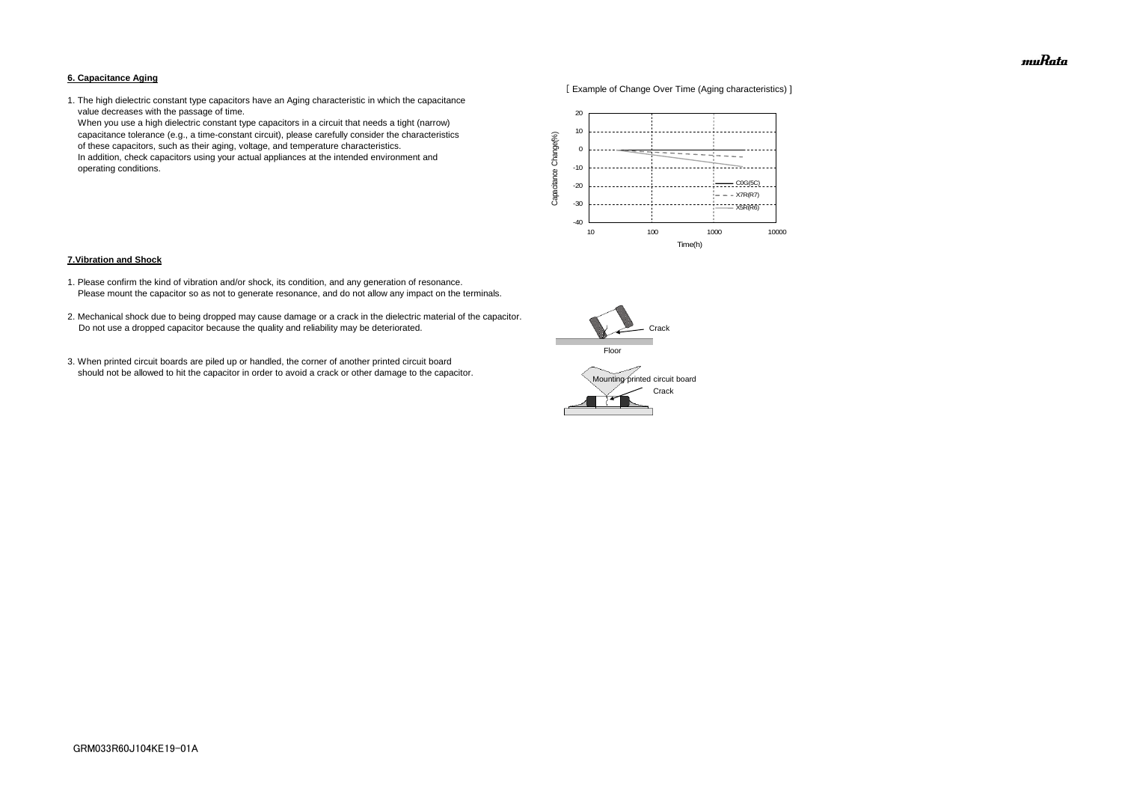#### **6. Capacitance Aging**



1. The high dielectric constant type capacitors have an Aging characteristic in which the capacitance value decreases with the passage of time.

 When you use a high dielectric constant type capacitors in a circuit that needs a tight (narrow) capacitance tolerance (e.g., a time-constant circuit), please carefully consider the characteristics of these capacitors, such as their aging, voltage, and temperature characteristics. In addition, check capacitors using your actual appliances at the intended environment and operating conditions.

#### **7.Vibration and Shock**

- 1. Please confirm the kind of vibration and/or shock, its condition, and any generation of resonance. Please mount the capacitor so as not to generate resonance, and do not allow any impact on the terminals.
- 2. Mechanical shock due to being dropped may cause damage or a crack in the dielectric material of the capacitor. Do not use a dropped capacitor because the quality and reliability may be deteriorated.
- 3. When printed circuit boards are piled up or handled, the corner of another printed circuit board should not be allowed to hit the capacitor in order to avoid a crack or other damage to the capacitor.





muRata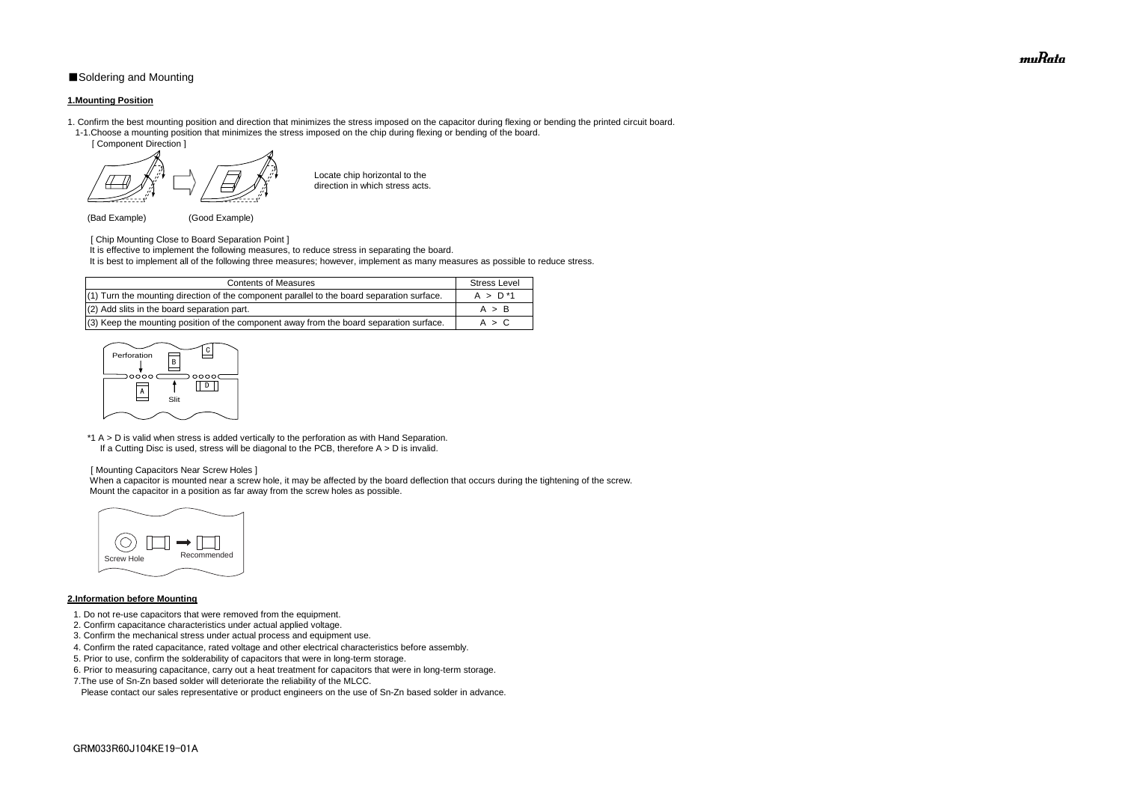# ■Soldering and Mounting

### **1.Mounting Position**

- 1. Confirm the best mounting position and direction that minimizes the stress imposed on the capacitor during flexing or bending the printed circuit board. 1-1.Choose a mounting position that minimizes the stress imposed on the chip during flexing or bending of the board.
	- [ Component Direction ]

Locate chip horizontal to the direction in which stress acts.

(Bad Example) (Good Example)

[ Chip Mounting Close to Board Separation Point ]

\*1 A > D is valid when stress is added vertically to the perforation as with Hand Separation. If a Cutting Disc is used, stress will be diagonal to the PCB, therefore  $A > D$  is invalid.

It is effective to implement the following measures, to reduce stress in separating the board.

It is best to implement all of the following three measures; however, implement as many measures as possible to reduce stress.

When a capacitor is mounted near a screw hole, it may be affected by the board deflection that occurs during the tightening of the screw. Mount the capacitor in a position as far away from the screw holes as possible.

#### [ Mounting Capacitors Near Screw Holes ]

### **2.Information before Mounting**

| <b>Contents of Measures</b>                                                                  | <b>Stress Level</b> |
|----------------------------------------------------------------------------------------------|---------------------|
| $(1)$ Turn the mounting direction of the component parallel to the board separation surface. | $A > D^*1$          |
| (2) Add slits in the board separation part.                                                  | A > B               |
| $(3)$ Keep the mounting position of the component away from the board separation surface.    | A > C               |

- 1. Do not re-use capacitors that were removed from the equipment.
- 2. Confirm capacitance characteristics under actual applied voltage.
- 3. Confirm the mechanical stress under actual process and equipment use.
- 4. Confirm the rated capacitance, rated voltage and other electrical characteristics before assembly.
- 5. Prior to use, confirm the solderability of capacitors that were in long-term storage.
- 6. Prior to measuring capacitance, carry out a heat treatment for capacitors that were in long-term storage.
- 7.The use of Sn-Zn based solder will deteriorate the reliability of the MLCC.

Please contact our sales representative or product engineers on the use of Sn-Zn based solder in advance.





muRata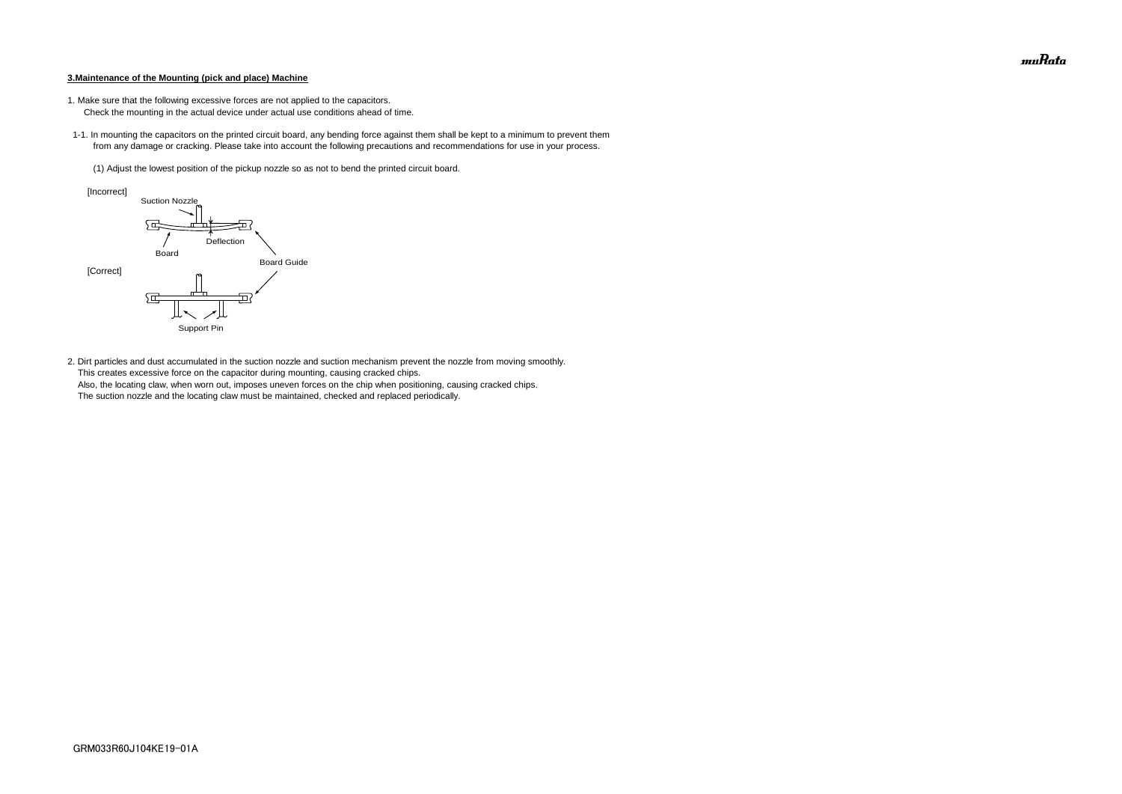#### **3.Maintenance of the Mounting (pick and place) Machine**

- 1. Make sure that the following excessive forces are not applied to the capacitors.
	- Check the mounting in the actual device under actual use conditions ahead of time.
- 1-1. In mounting the capacitors on the printed circuit board, any bending force against them shall be kept to a minimum to prevent them from any damage or cracking. Please take into account the following precautions and recommendations for use in your process.
	- (1) Adjust the lowest position of the pickup nozzle so as not to bend the printed circuit board.

2. Dirt particles and dust accumulated in the suction nozzle and suction mechanism prevent the nozzle from moving smoothly. This creates excessive force on the capacitor during mounting, causing cracked chips. Also, the locating claw, when worn out, imposes uneven forces on the chip when positioning, causing cracked chips. The suction nozzle and the locating claw must be maintained, checked and replaced periodically.



muRata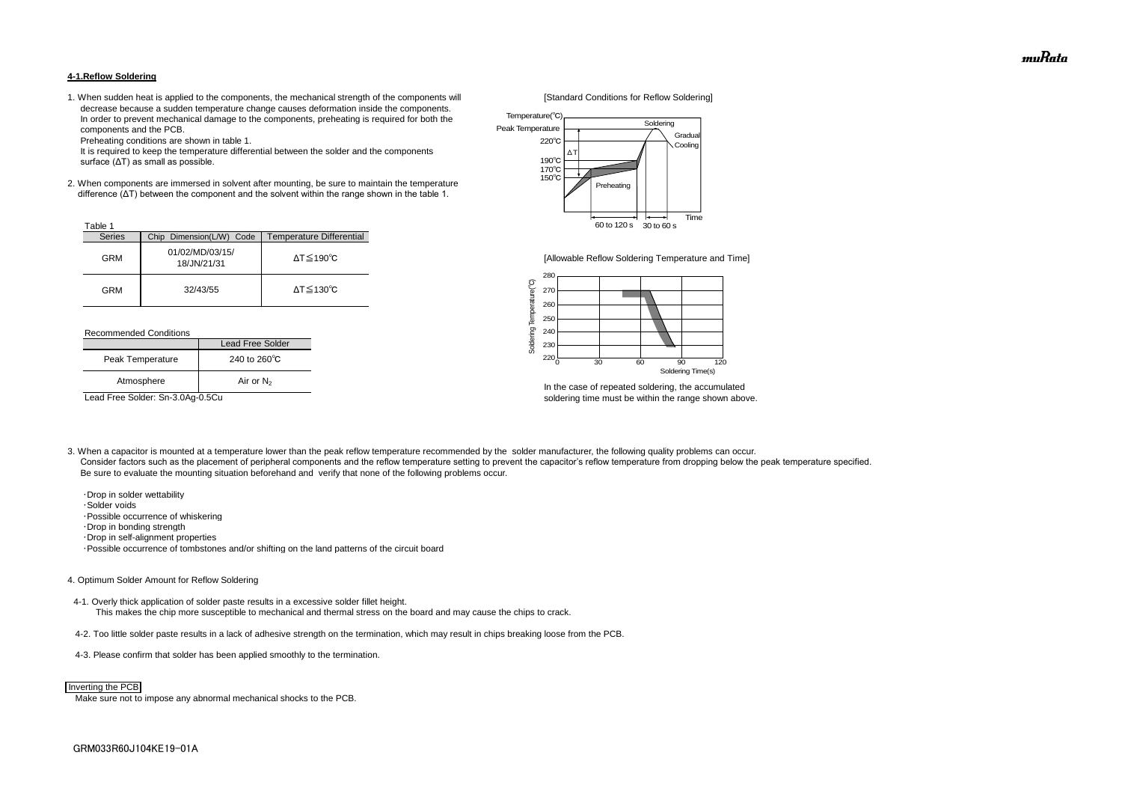#### **4-1.Reflow Soldering**

1. When sudden heat is applied to the components, the mechanical strength of the components will [Standard Conditions for Reflow Soldering] decrease because a sudden temperature change causes deformation inside the components. In order to prevent mechanical damage to the components, preheating is required for both the components and the PCB.

Preheating conditions are shown in table 1.

 It is required to keep the temperature differential between the solder and the components surface (ΔT) as small as possible.

2. When components are immersed in solvent after mounting, be sure to maintain the temperature difference (ΔT) between the component and the solvent within the range shown in the table 1.

#### Recommended Conditions

3. When a capacitor is mounted at a temperature lower than the peak reflow temperature recommended by the solder manufacturer, the following quality problems can occur. Consider factors such as the placement of peripheral components and the reflow temperature setting to prevent the capacitor's reflow temperature from dropping below the peak temperature specified. Be sure to evaluate the mounting situation beforehand and verify that none of the following problems occur.



In the case of repeated soldering, the accumulated Lead Free Solder: Sn-3.0Ag-0.5Cu soldering time must be within the range shown above.

 ・Drop in solder wettability ・Solder voids ・Possible occurrence of whiskering ・Drop in bonding strength ・Drop in self-alignment properties ・Possible occurrence of tombstones and/or shifting on the land patterns of the circuit board

| Table 1       |                                |                              |
|---------------|--------------------------------|------------------------------|
| <b>Series</b> | Chip Dimension(L/W) Code       | Temperature Differential     |
| <b>GRM</b>    | 01/02/MD/03/15/<br>18/JN/21/31 | $\Delta T \leq 190^{\circ}C$ |
| <b>GRM</b>    | 32/43/55                       | $\Delta T \leq 130^{\circ}C$ |

#### 4. Optimum Solder Amount for Reflow Soldering

4-1. Overly thick application of solder paste results in a excessive solder fillet height. This makes the chip more susceptible to mechanical and thermal stress on the board and may cause the chips to crack.

- 4-2. Too little solder paste results in a lack of adhesive strength on the termination, which may result in chips breaking loose from the PCB.
- 4-3. Please confirm that solder has been applied smoothly to the termination.

Make sure not to impose any abnormal mechanical shocks to the PCB.

|                  | Lead Free Solder       |  |
|------------------|------------------------|--|
| Peak Temperature | 240 to $260^{\circ}$ C |  |
| Atmosphere       | Air or $N_2$           |  |



#### Inverting the PCB



[Allowable Reflow Soldering Temperature and Time]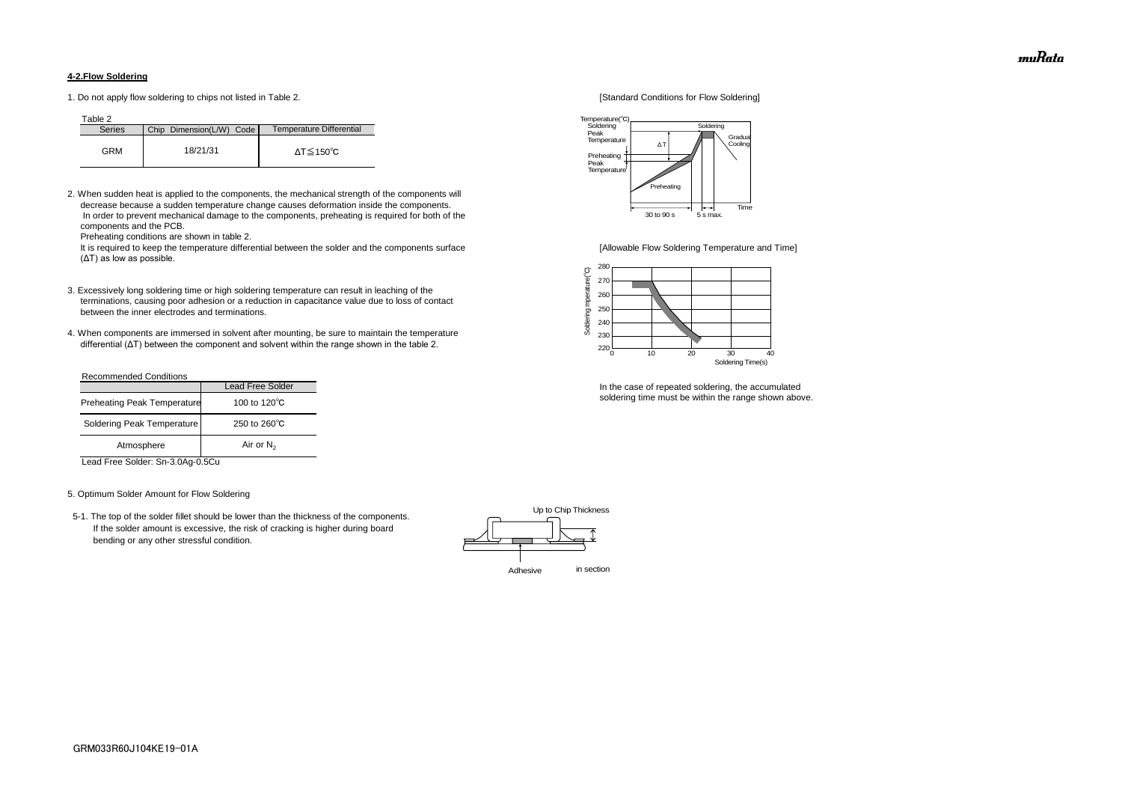### **4-2.Flow Soldering**

1. Do not apply flow soldering to chips not listed in Table 2. [Standard Conditions for Flow Soldering]

Table 2

2. When sudden heat is applied to the components, the mechanical strength of the components will decrease because a sudden temperature change causes deformation inside the components. In order to prevent mechanical damage to the components, preheating is required for both of the components and the PCB.

It is required to keep the temperature differential between the solder and the components surface [Allowable Flow Soldering Temperature and Time] (ΔT) as low as possible.

Preheating conditions are shown in table 2.

- 3. Excessively long soldering time or high soldering temperature can result in leaching of the terminations, causing poor adhesion or a reduction in capacitance value due to loss of contact between the inner electrodes and terminations.
- 4. When components are immersed in solvent after mounting, be sure to maintain the temperature differential (ΔT) between the component and solvent within the range shown in the table 2.

| <b>Series</b> | Chip Dimension(L/W) Code | Temperature Differential |
|---------------|--------------------------|--------------------------|
| GRM           | 18/21/31                 | ΔT≦150℃                  |

#### Recommended Conditions

Lead Free Solder: Sn-3.0Ag-0.5Cu

#### 5. Optimum Solder Amount for Flow Soldering

 5-1. The top of the solder fillet should be lower than the thickness of the components. If the solder amount is excessive, the risk of cracking is higher during board bending or any other stressful condition.



In the case of repeated soldering, the accumulated soldering time must be within the range shown above.

|                                    | <b>Lead Free Solder</b> |  |
|------------------------------------|-------------------------|--|
| <b>Preheating Peak Temperature</b> | 100 to 120 $\degree$ C  |  |
| Soldering Peak Temperature         | 250 to $260^{\circ}$ C  |  |
| Atmosphere                         | Air or $N_2$            |  |





muRata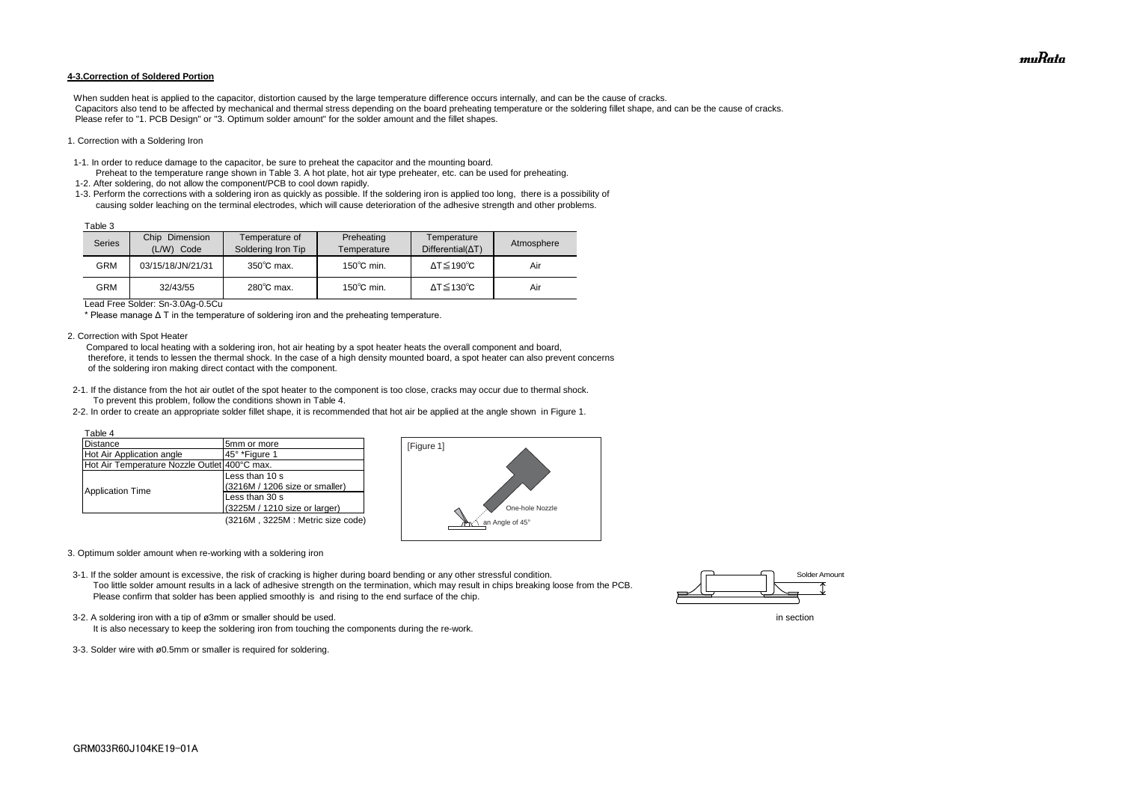#### **4-3.Correction of Soldered Portion**

When sudden heat is applied to the capacitor, distortion caused by the large temperature difference occurs internally, and can be the cause of cracks. Capacitors also tend to be affected by mechanical and thermal stress depending on the board preheating temperature or the soldering fillet shape, and can be the cause of cracks. Please refer to "1. PCB Design" or "3. Optimum solder amount" for the solder amount and the fillet shapes.

#### 1. Correction with a Soldering Iron

- 1-1. In order to reduce damage to the capacitor, be sure to preheat the capacitor and the mounting board.
- Preheat to the temperature range shown in Table 3. A hot plate, hot air type preheater, etc. can be used for preheating. 1-2. After soldering, do not allow the component/PCB to cool down rapidly.
- 1-3. Perform the corrections with a soldering iron as quickly as possible. If the soldering iron is applied too long, there is a possibility of causing solder leaching on the terminal electrodes, which will cause deterioration of the adhesive strength and other problems.

Lead Free Solder: Sn-3.0Ag-0.5Cu

\* Please manage Δ T in the temperature of soldering iron and the preheating temperature.

2. Correction with Spot Heater

 Compared to local heating with a soldering iron, hot air heating by a spot heater heats the overall component and board, therefore, it tends to lessen the thermal shock. In the case of a high density mounted board, a spot heater can also prevent concerns of the soldering iron making direct contact with the component.

- 3-2. A soldering iron with a tip of ø3mm or smaller should be used. In section
	- It is also necessary to keep the soldering iron from touching the components during the re-work.
- 3-3. Solder wire with ø0.5mm or smaller is required for soldering.
- 2-1. If the distance from the hot air outlet of the spot heater to the component is too close, cracks may occur due to thermal shock. To prevent this problem, follow the conditions shown in Table 4.
- 2-2. In order to create an appropriate solder fillet shape, it is recommended that hot air be applied at the angle shown in Figure 1.

| Table 3 |                                    |                                      |                           |                                         |            |
|---------|------------------------------------|--------------------------------------|---------------------------|-----------------------------------------|------------|
| Series  | Chip<br>Dimension<br>(L/W)<br>Code | Temperature of<br>Soldering Iron Tip | Preheating<br>Temperature | Temperature<br>$Differential(\Delta T)$ | Atmosphere |
| GRM     | 03/15/18/JN/21/31                  | $350^{\circ}$ C max.                 | $150^{\circ}$ C min.      | $\Delta T \leq 190^{\circ}C$            | Air        |
| GRM     | 32/43/55                           | $280^{\circ}$ C max.                 | $150^{\circ}$ C min.      | $\Delta T \leq 130^{\circ}C$            | Air        |

- 3. Optimum solder amount when re-working with a soldering iron
- 3-1. If the solder amount is excessive, the risk of cracking is higher during board bending or any other stressful condition. Too little solder amount results in a lack of adhesive strength on the termination, which may result in chips breaking loose from the PCB. Please confirm that solder has been applied smoothly is and rising to the end surface of the chip.

| Table 4                                      |                                  |
|----------------------------------------------|----------------------------------|
| Distance                                     | 5mm or more                      |
| Hot Air Application angle                    | 45° *Figure 1                    |
| Hot Air Temperature Nozzle Outlet 400°C max. |                                  |
|                                              | Less than 10 s                   |
|                                              | (3216M / 1206 size or smaller)   |
| <b>Application Time</b>                      | Less than 30 s                   |
|                                              | (3225M / 1210 size or larger)    |
|                                              | (3216M, 3225M: Metric size code) |





muRata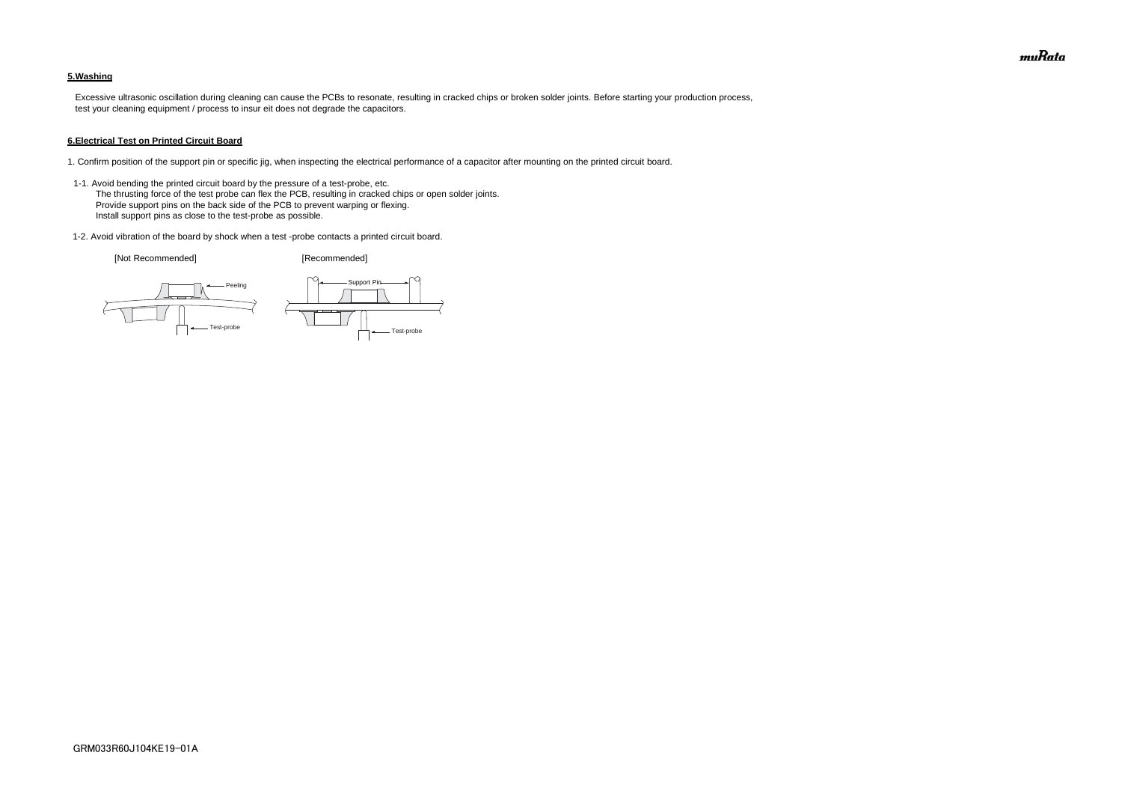## **5.Washing**

 Excessive ultrasonic oscillation during cleaning can cause the PCBs to resonate, resulting in cracked chips or broken solder joints. Before starting your production process, test your cleaning equipment / process to insur eit does not degrade the capacitors.

#### **6.Electrical Test on Printed Circuit Board**

- 1. Confirm position of the support pin or specific jig, when inspecting the electrical performance of a capacitor after mounting on the printed circuit board.
- 1-1. Avoid bending the printed circuit board by the pressure of a test-probe, etc. The thrusting force of the test probe can flex the PCB, resulting in cracked chips or open solder joints. Provide support pins on the back side of the PCB to prevent warping or flexing. Install support pins as close to the test-probe as possible.
- 1-2. Avoid vibration of the board by shock when a test -probe contacts a printed circuit board.

[Not Recommended] [Recommended]





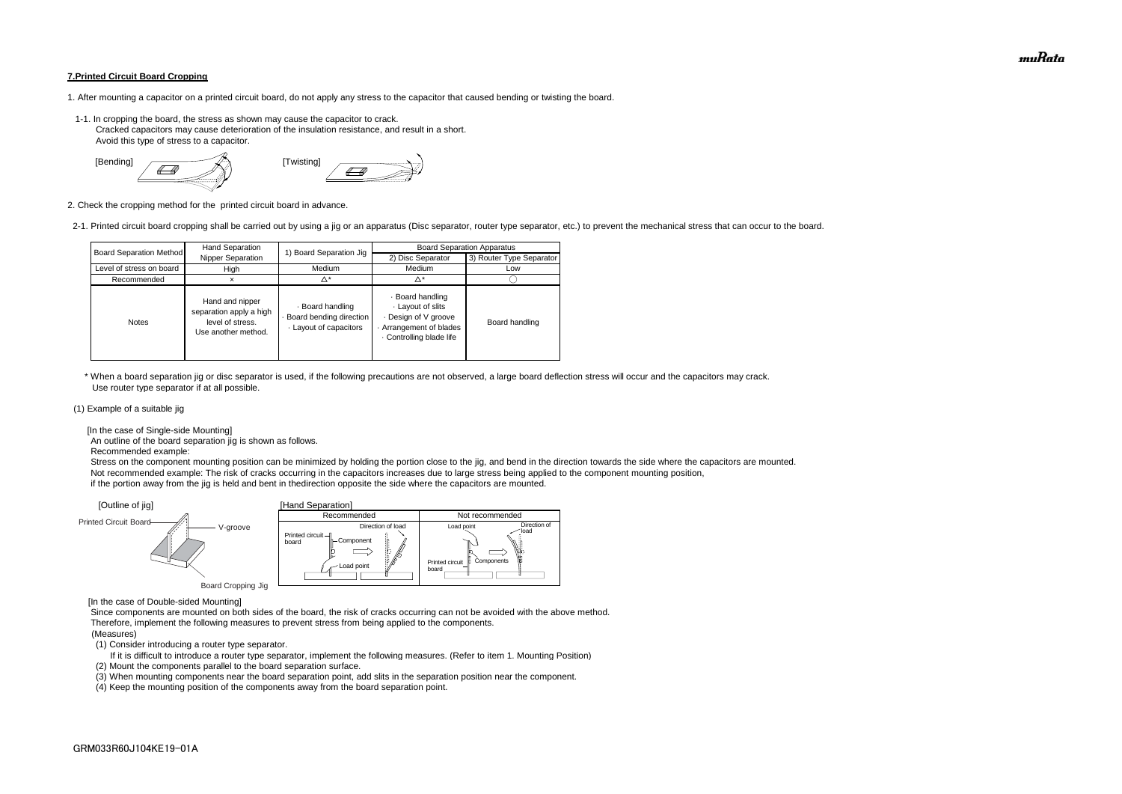#### **7.Printed Circuit Board Cropping**

- 1. After mounting a capacitor on a printed circuit board, do not apply any stress to the capacitor that caused bending or twisting the board.
- 1-1. In cropping the board, the stress as shown may cause the capacitor to crack. Cracked capacitors may cause deterioration of the insulation resistance, and result in a short. Avoid this type of stress to a capacitor.



2. Check the cropping method for the printed circuit board in advance.

2-1. Printed circuit board cropping shall be carried out by using a jig or an apparatus (Disc separator, router type separator, etc.) to prevent the mechanical stress that can occur to the board.

 \* When a board separation jig or disc separator is used, if the following precautions are not observed, a large board deflection stress will occur and the capacitors may crack. Use router type separator if at all possible.

#### (1) Example of a suitable jig

[In the case of Single-side Mounting]

An outline of the board separation jig is shown as follows.

Recommended example:

 Stress on the component mounting position can be minimized by holding the portion close to the jig, and bend in the direction towards the side where the capacitors are mounted. Not recommended example: The risk of cracks occurring in the capacitors increases due to large stress being applied to the component mounting position, if the portion away from the jig is held and bent in thedirection opposite the side where the capacitors are mounted.

[In the case of Double-sided Mounting]

 Since components are mounted on both sides of the board, the risk of cracks occurring can not be avoided with the above method. Therefore, implement the following measures to prevent stress from being applied to the components.

#### (Measures)

(1) Consider introducing a router type separator.

If it is difficult to introduce a router type separator, implement the following measures. (Refer to item 1. Mounting Position)

(2) Mount the components parallel to the board separation surface.

(3) When mounting components near the board separation point, add slits in the separation position near the component.



(4) Keep the mounting position of the components away from the board separation point.

| <b>Board Separation Method</b> | Hand Separation                                                                       | 1) Board Separation Jig                                             | <b>Board Separation Apparatus</b>                                                                              |                          |  |
|--------------------------------|---------------------------------------------------------------------------------------|---------------------------------------------------------------------|----------------------------------------------------------------------------------------------------------------|--------------------------|--|
|                                | Nipper Separation                                                                     |                                                                     | 2) Disc Separator                                                                                              | 3) Router Type Separator |  |
| Level of stress on board       | High                                                                                  | Medium                                                              | Medium                                                                                                         | Low                      |  |
| Recommended                    |                                                                                       | Δ*                                                                  | Δ*                                                                                                             |                          |  |
| <b>Notes</b>                   | Hand and nipper<br>separation apply a high<br>level of stress.<br>Use another method. | · Board handling<br>Board bending direction<br>Layout of capacitors | · Board handling<br>Layout of slits<br>Design of V groove<br>Arrangement of blades<br>. Controlling blade life | Board handling           |  |

muRata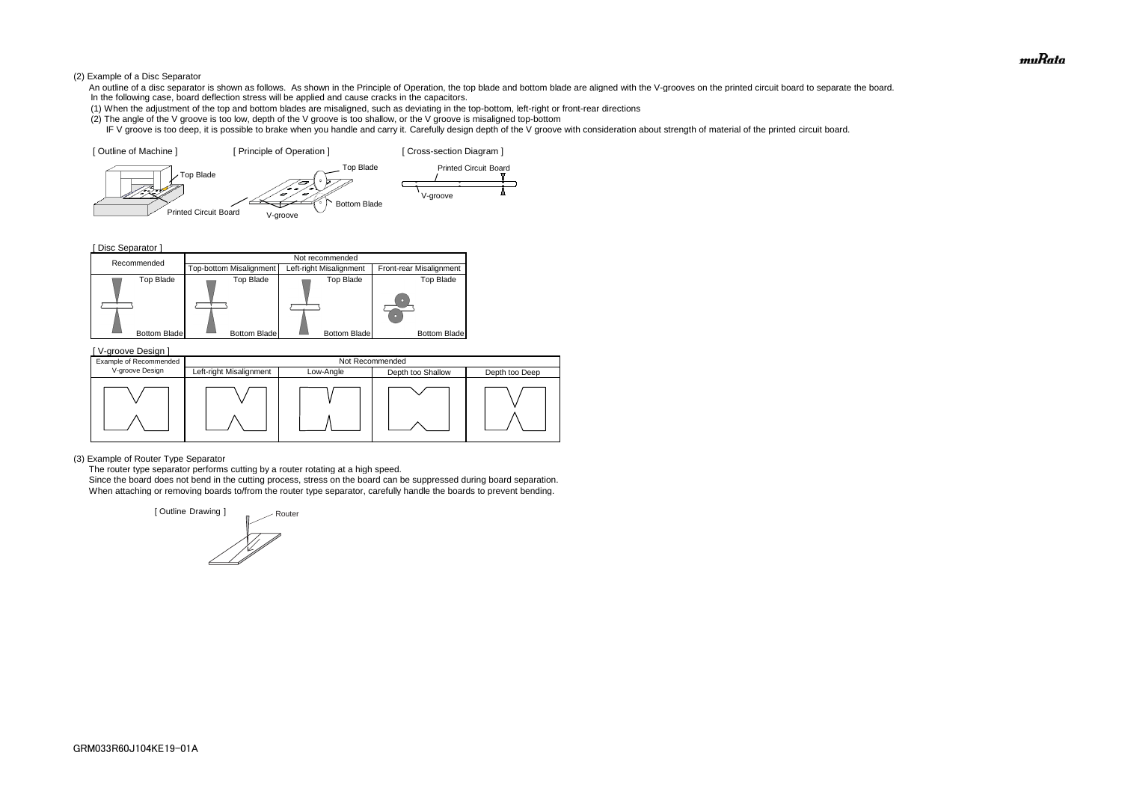#### (2) Example of a Disc Separator

- An outline of a disc separator is shown as follows. As shown in the Principle of Operation, the top blade and bottom blade are aligned with the V-grooves on the printed circuit board to separate the board. In the following case, board deflection stress will be applied and cause cracks in the capacitors.
- (1) When the adjustment of the top and bottom blades are misaligned, such as deviating in the top-bottom, left-right or front-rear directions
- (2) The angle of the V groove is too low, depth of the V groove is too shallow, or the V groove is misaligned top-bottom
- IF V groove is too deep, it is possible to brake when you handle and carry it. Carefully design depth of the V groove with consideration about strength of material of the printed circuit board.

[ Disc Separator ]

(3) Example of Router Type Separator

The router type separator performs cutting by a router rotating at a high speed.





 Since the board does not bend in the cutting process, stress on the board can be suppressed during board separation. When attaching or removing boards to/from the router type separator, carefully handle the boards to prevent bending.

| V-groove Design ]      |                         |           |                   |                |  |  |
|------------------------|-------------------------|-----------|-------------------|----------------|--|--|
| Example of Recommended | Not Recommended         |           |                   |                |  |  |
| V-groove Design        | Left-right Misalignment | Low-Angle | Depth too Shallow | Depth too Deep |  |  |
|                        |                         |           |                   |                |  |  |

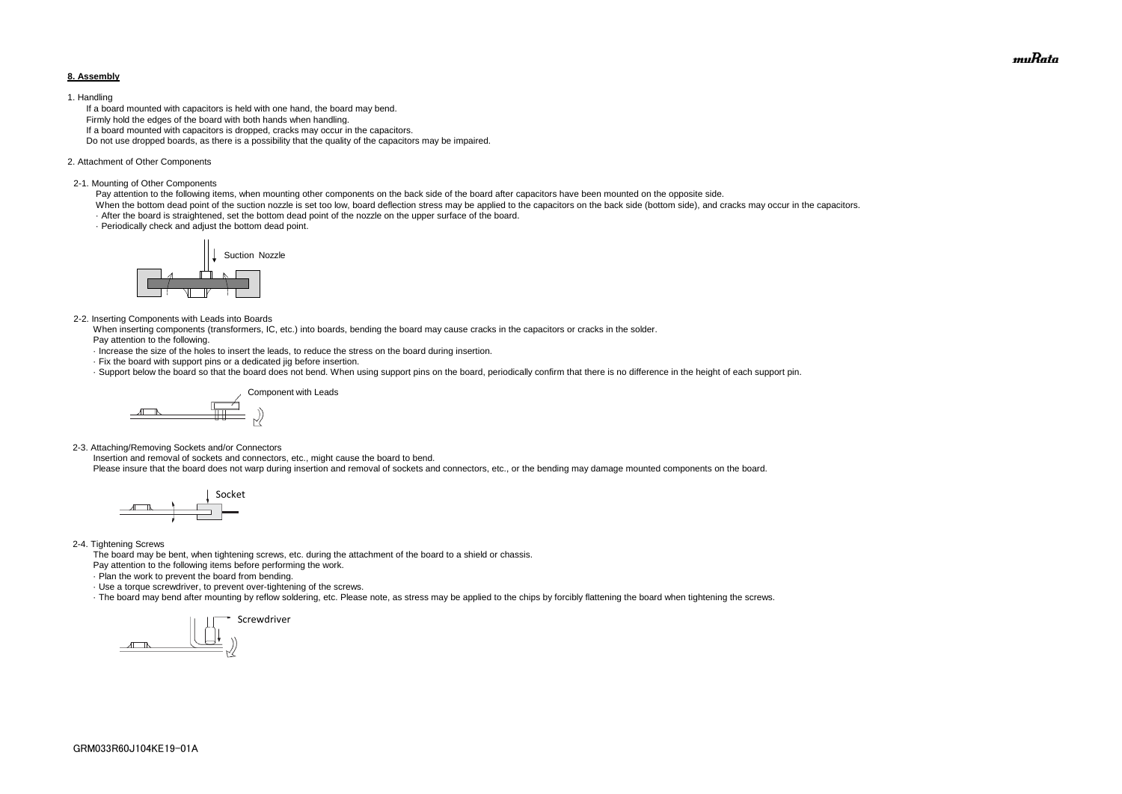#### **8. Assembly**

#### 1. Handling

 If a board mounted with capacitors is held with one hand, the board may bend. Firmly hold the edges of the board with both hands when handling. If a board mounted with capacitors is dropped, cracks may occur in the capacitors. Do not use dropped boards, as there is a possibility that the quality of the capacitors may be impaired.

#### 2. Attachment of Other Components

#### 2-1. Mounting of Other Components

Pay attention to the following items, when mounting other components on the back side of the board after capacitors have been mounted on the opposite side.

When the bottom dead point of the suction nozzle is set too low, board deflection stress may be applied to the capacitors on the back side (bottom side), and cracks may occur in the capacitors. · After the board is straightened, set the bottom dead point of the nozzle on the upper surface of the board.

· Periodically check and adjust the bottom dead point.

#### 2-2. Inserting Components with Leads into Boards

 When inserting components (transformers, IC, etc.) into boards, bending the board may cause cracks in the capacitors or cracks in the solder. Pay attention to the following.

- · Increase the size of the holes to insert the leads, to reduce the stress on the board during insertion.
- · Fix the board with support pins or a dedicated jig before insertion.
- · Support below the board so that the board does not bend. When using support pins on the board, periodically confirm that there is no difference in the height of each support pin.

2-3. Attaching/Removing Sockets and/or Connectors

Insertion and removal of sockets and connectors, etc., might cause the board to bend.

Please insure that the board does not warp during insertion and removal of sockets and connectors, etc., or the bending may damage mounted components on the board.

#### 2-4. Tightening Screws

The board may be bent, when tightening screws, etc. during the attachment of the board to a shield or chassis.

Pay attention to the following items before performing the work.

· Plan the work to prevent the board from bending.

· Use a torque screwdriver, to prevent over-tightening of the screws.

· The board may bend after mounting by reflow soldering, etc. Please note, as stress may be applied to the chips by forcibly flattening the board when tightening the screws.









muRata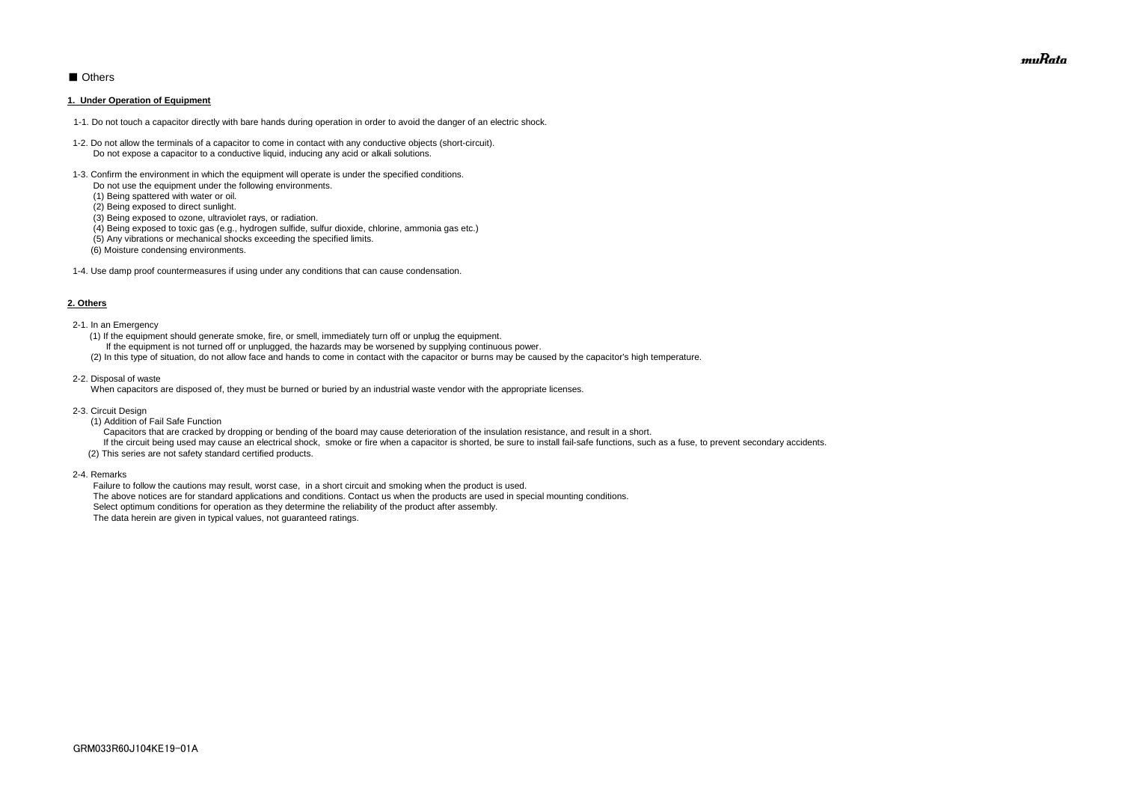# ■ Others

#### **1. Under Operation of Equipment**

- 1-1. Do not touch a capacitor directly with bare hands during operation in order to avoid the danger of an electric shock.
- 1-2. Do not allow the terminals of a capacitor to come in contact with any conductive objects (short-circuit). Do not expose a capacitor to a conductive liquid, inducing any acid or alkali solutions.
- 1-3. Confirm the environment in which the equipment will operate is under the specified conditions.
	- Do not use the equipment under the following environments.
	- (1) Being spattered with water or oil.
	- (2) Being exposed to direct sunlight.
	- (3) Being exposed to ozone, ultraviolet rays, or radiation.
	- (4) Being exposed to toxic gas (e.g., hydrogen sulfide, sulfur dioxide, chlorine, ammonia gas etc.)
	- (5) Any vibrations or mechanical shocks exceeding the specified limits.
	- (6) Moisture condensing environments.
- 1-4. Use damp proof countermeasures if using under any conditions that can cause condensation.

#### **2. Others**

If the circuit being used may cause an electrical shock, smoke or fire when a capacitor is shorted, be sure to install fail-safe functions, such as a fuse, to prevent secondary accidents. (2) This series are not safety standard certified products.

- 2-1. In an Emergency
	- (1) If the equipment should generate smoke, fire, or smell, immediately turn off or unplug the equipment.
	- If the equipment is not turned off or unplugged, the hazards may be worsened by supplying continuous power.
	- (2) In this type of situation, do not allow face and hands to come in contact with the capacitor or burns may be caused by the capacitor's high temperature.
- 2-2. Disposal of waste

When capacitors are disposed of, they must be burned or buried by an industrial waste vendor with the appropriate licenses.

- 2-3. Circuit Design
	- (1) Addition of Fail Safe Function

Capacitors that are cracked by dropping or bending of the board may cause deterioration of the insulation resistance, and result in a short.

2-4. Remarks

 Failure to follow the cautions may result, worst case, in a short circuit and smoking when the product is used. The above notices are for standard applications and conditions. Contact us when the products are used in special mounting conditions. Select optimum conditions for operation as they determine the reliability of the product after assembly. The data herein are given in typical values, not guaranteed ratings.

muRata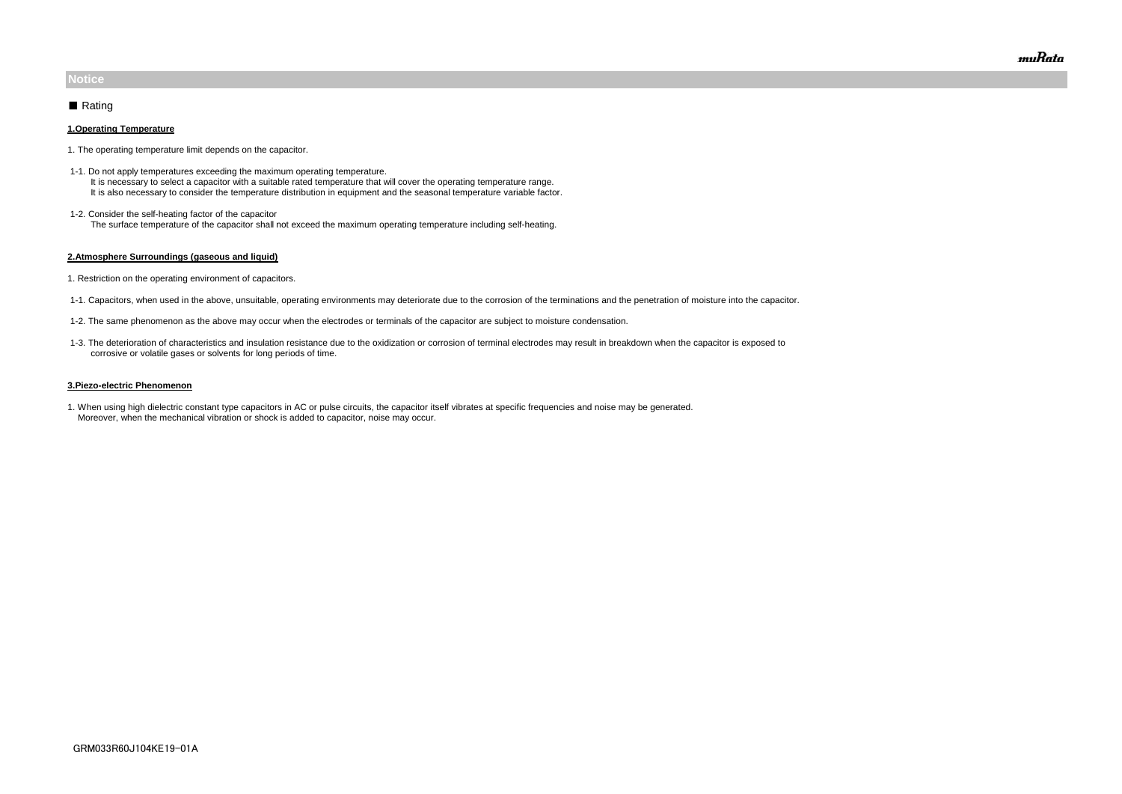#### **1.Operating Temperature**

- 1. The operating temperature limit depends on the capacitor.
- 1-1. Do not apply temperatures exceeding the maximum operating temperature. It is necessary to select a capacitor with a suitable rated temperature that will cover the operating temperature range. It is also necessary to consider the temperature distribution in equipment and the seasonal temperature variable factor.
- 1-2. Consider the self-heating factor of the capacitor The surface temperature of the capacitor shall not exceed the maximum operating temperature including self-heating.

#### **2.Atmosphere Surroundings (gaseous and liquid)**

- 1. Restriction on the operating environment of capacitors.
- 1-1. Capacitors, when used in the above, unsuitable, operating environments may deteriorate due to the corrosion of the terminations and the penetration of moisture into the capacitor.
- 1-2. The same phenomenon as the above may occur when the electrodes or terminals of the capacitor are subject to moisture condensation.
- 1-3. The deterioration of characteristics and insulation resistance due to the oxidization or corrosion of terminal electrodes may result in breakdown when the capacitor is exposed to corrosive or volatile gases or solvents for long periods of time.

#### **3.Piezo-electric Phenomenon**

1. When using high dielectric constant type capacitors in AC or pulse circuits, the capacitor itself vibrates at specific frequencies and noise may be generated. Moreover, when the mechanical vibration or shock is added to capacitor, noise may occur.

# **Notice**

## ■ Rating

muRata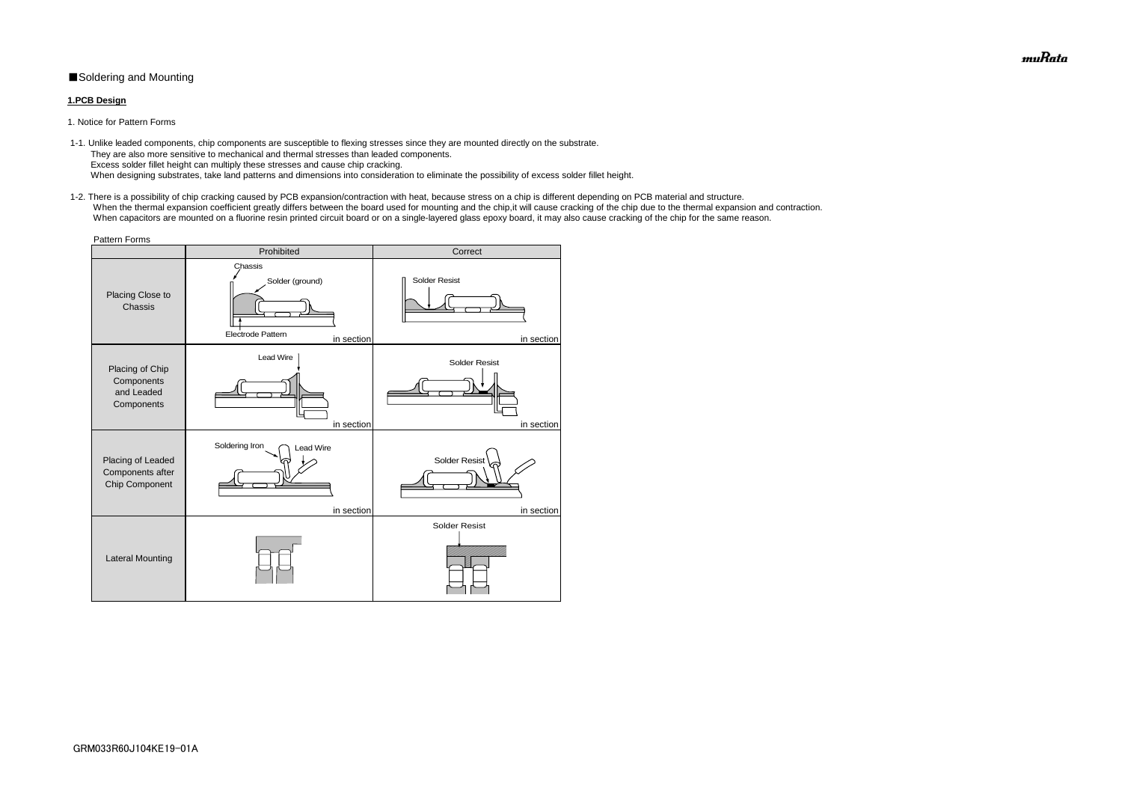# ■Soldering and Mounting

### **1.PCB Design**

 1-1. Unlike leaded components, chip components are susceptible to flexing stresses since they are mounted directly on the substrate. They are also more sensitive to mechanical and thermal stresses than leaded components. Excess solder fillet height can multiply these stresses and cause chip cracking. When designing substrates, take land patterns and dimensions into consideration to eliminate the possibility of excess solder fillet height.

1. Notice for Pattern Forms

 1-2. There is a possibility of chip cracking caused by PCB expansion/contraction with heat, because stress on a chip is different depending on PCB material and structure. When the thermal expansion coefficient greatly differs between the board used for mounting and the chip, it will cause cracking of the chip due to the thermal expansion and contraction. When capacitors are mounted on a fluorine resin printed circuit board or on a single-layered glass epoxy board, it may also cause cracking of the chip for the same reason.

| <b>Pattern Forms</b>                                      |                                                               |                                    |  |  |  |  |
|-----------------------------------------------------------|---------------------------------------------------------------|------------------------------------|--|--|--|--|
|                                                           | Prohibited                                                    | Correct                            |  |  |  |  |
| Placing Close to<br>Chassis                               | Chassis<br>Solder (ground)<br>Electrode Pattern<br>in section | <b>Solder Resist</b><br>in section |  |  |  |  |
| Placing of Chip<br>Components<br>and Leaded<br>Components | Lead Wire<br>in section                                       | <b>Solder Resist</b><br>in section |  |  |  |  |
| Placing of Leaded<br>Components after<br>Chip Component   | Soldering Iron<br><b>Lead Wire</b><br>in section              | <b>Solder Resist</b><br>in section |  |  |  |  |
| <b>Lateral Mounting</b>                                   |                                                               | <b>Solder Resist</b>               |  |  |  |  |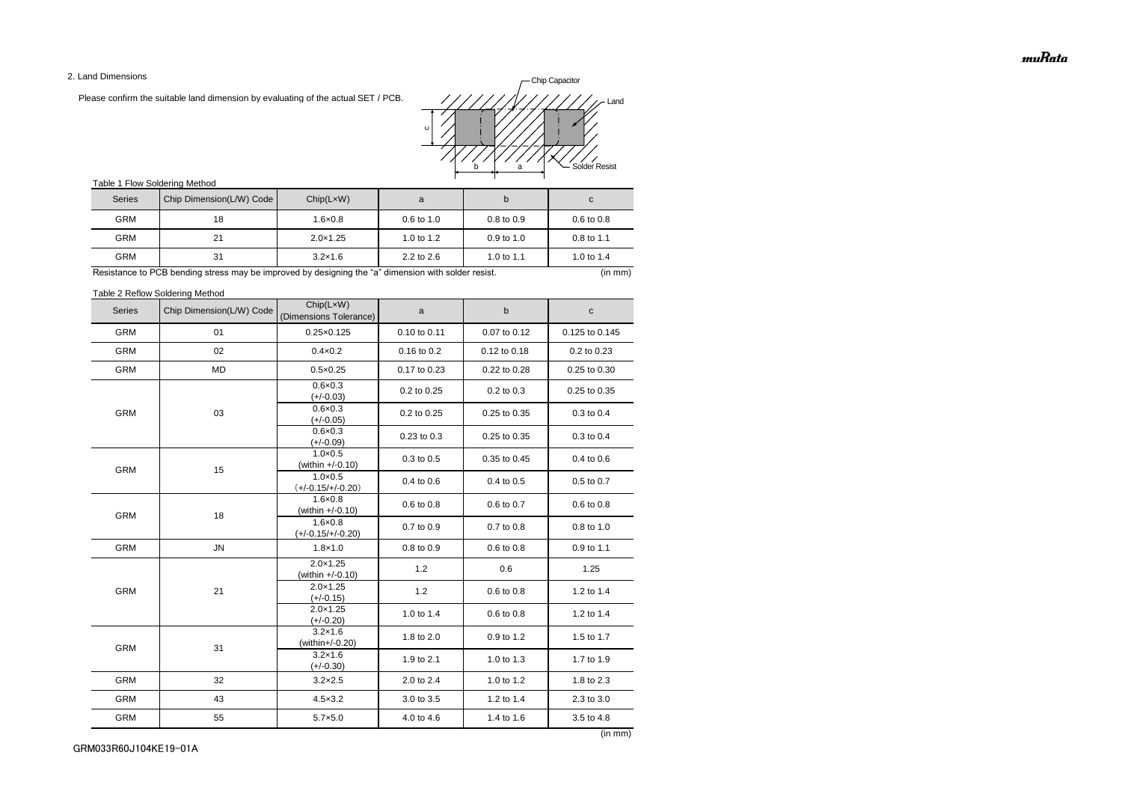2. Land Dimensions

Please confirm the suitable land dimension by evaluating of the actual SET / PCB.

# Table 1 Flow Soldering Method

Table 2 Reflow Soldering Method

| <b>Series</b> | Chip Dimension(L/W) Code | Chip(LxW)<br>(Dimensions Tolerance)      | a            | b            | $\mathbf C$    |
|---------------|--------------------------|------------------------------------------|--------------|--------------|----------------|
| <b>GRM</b>    | 01                       | $0.25 \times 0.125$                      | 0.10 to 0.11 | 0.07 to 0.12 | 0.125 to 0.145 |
| <b>GRM</b>    | 02                       | $0.4 \times 0.2$                         | 0.16 to 0.2  | 0.12 to 0.18 | 0.2 to 0.23    |
| <b>GRM</b>    | <b>MD</b>                | $0.5 \times 0.25$                        | 0.17 to 0.23 | 0.22 to 0.28 | 0.25 to 0.30   |
|               |                          | $0.6 \times 0.3$<br>$(+/-0.03)$          | 0.2 to 0.25  | 0.2 to 0.3   | 0.25 to 0.35   |
| <b>GRM</b>    | 03                       | $0.6 \times 0.3$<br>$(+/-0.05)$          | 0.2 to 0.25  | 0.25 to 0.35 | 0.3 to 0.4     |
|               |                          | $0.6 \times 0.3$<br>$(+/-0.09)$          | 0.23 to 0.3  | 0.25 to 0.35 | 0.3 to 0.4     |
| <b>GRM</b>    | 15                       | $1.0 \times 0.5$<br>(within +/-0.10)     | 0.3 to 0.5   | 0.35 to 0.45 | 0.4 to 0.6     |
|               |                          | $1.0 \times 0.5$<br>$(+/-0.15/+/-0.20)$  | 0.4 to 0.6   | 0.4 to 0.5   | 0.5 to 0.7     |
| <b>GRM</b>    | 18                       | $1.6 \times 0.8$<br>(within +/-0.10)     | 0.6 to 0.8   | 0.6 to 0.7   | 0.6 to 0.8     |
|               |                          | $1.6 \times 0.8$<br>$(+/-0.15/+/-0.20)$  | 0.7 to 0.9   | 0.7 to 0.8   | 0.8 to 1.0     |
| <b>GRM</b>    | ${\sf JN}$               | $1.8 \times 1.0$                         | 0.8 to 0.9   | 0.6 to 0.8   | 0.9 to 1.1     |
|               | 21                       | $2.0 \times 1.25$<br>(within $+/-0.10$ ) | 1.2          | 0.6          | 1.25           |
| <b>GRM</b>    |                          | $2.0 \times 1.25$<br>$(+/-0.15)$         | 1.2          | 0.6 to 0.8   | 1.2 to 1.4     |
|               |                          | $2.0 \times 1.25$<br>$(+/-0.20)$         | 1.0 to 1.4   | 0.6 to 0.8   | 1.2 to 1.4     |
| <b>GRM</b>    | 31                       | $3.2 \times 1.6$<br>(within+/-0.20)      | 1.8 to 2.0   | 0.9 to 1.2   | 1.5 to 1.7     |
|               |                          | $3.2 \times 1.6$<br>$(+/-0.30)$          | 1.9 to 2.1   | 1.0 to 1.3   | 1.7 to 1.9     |
| <b>GRM</b>    | 32                       | $3.2 \times 2.5$                         | 2.0 to 2.4   | 1.0 to 1.2   | 1.8 to 2.3     |
| <b>GRM</b>    | 43                       | $4.5 \times 3.2$                         | 3.0 to 3.5   | 1.2 to 1.4   | 2.3 to 3.0     |
| <b>GRM</b>    | 55                       | $5.7 \times 5.0$                         | 4.0 to 4.6   | 1.4 to 1.6   | 3.5 to 4.8     |

| <b>Series</b> | Chip Dimension(L/W) Code | Chip(LxW)         | a                     | b                     | C.                    |
|---------------|--------------------------|-------------------|-----------------------|-----------------------|-----------------------|
| <b>GRM</b>    | 18                       | $1.6 \times 0.8$  | $0.6 \text{ to } 1.0$ | $0.8 \text{ to } 0.9$ | $0.6 \text{ to } 0.8$ |
| <b>GRM</b>    | 21                       | $2.0 \times 1.25$ | 1.0 to $1.2$          | $0.9$ to 1.0          | $0.8$ to 1.1          |
| <b>GRM</b>    | 31                       | $3.2 \times 1.6$  | $2.2$ to $2.6$        | 1.0 to 1.1            | 1.0 to 1.4            |

Resistance to PCB bending stress may be improved by designing the "a" dimension with solder resist. (in mm)

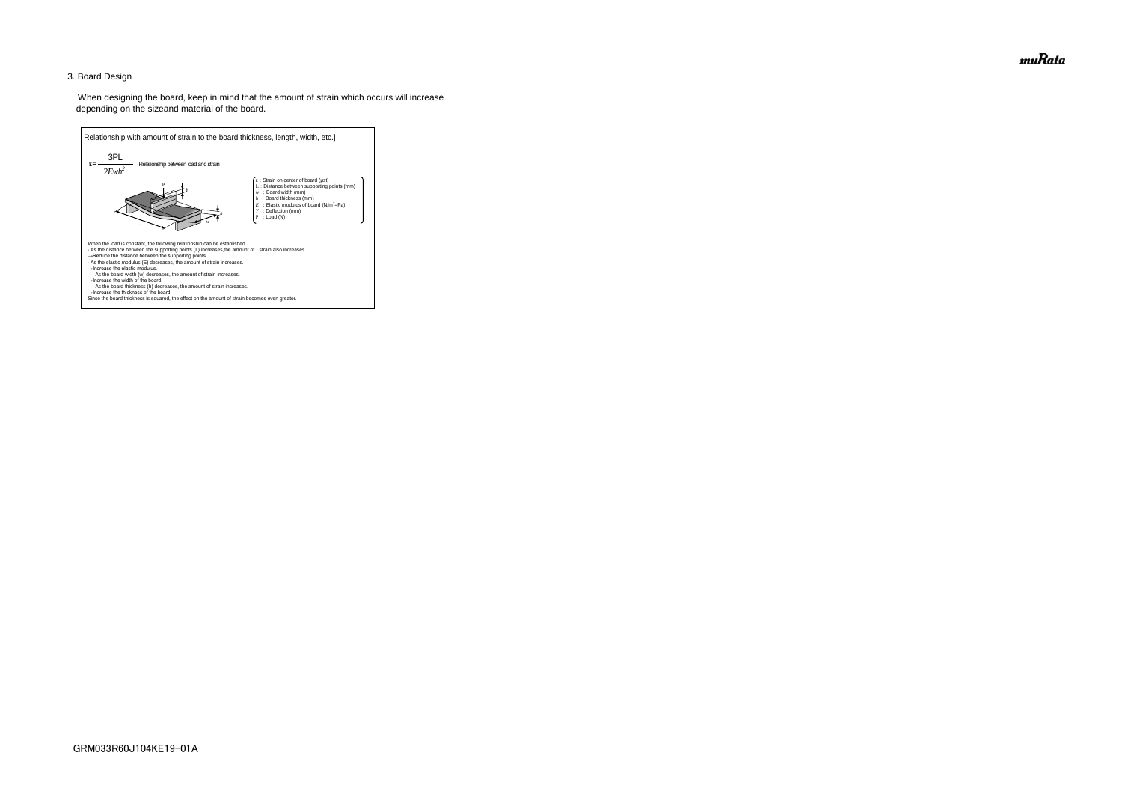## 3. Board Design

 When designing the board, keep in mind that the amount of strain which occurs will increase depending on the sizeand material of the board.



muRata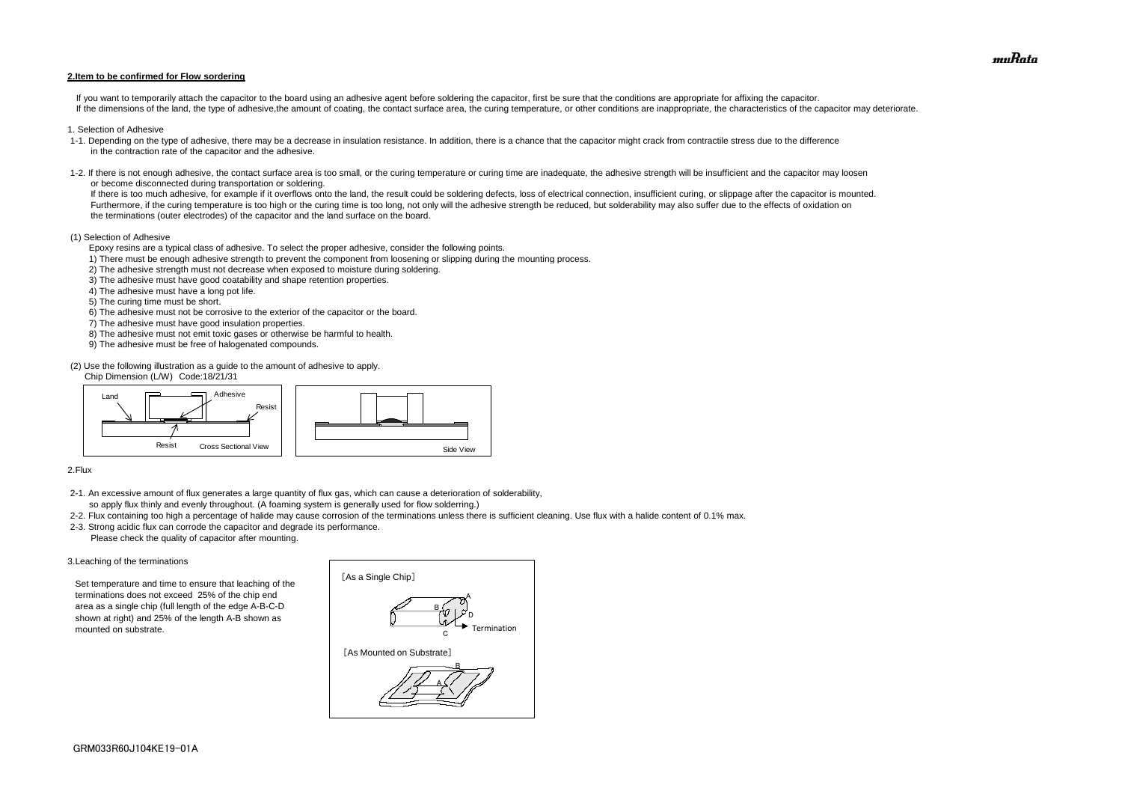#### **2.Item to be confirmed for Flow sordering**

If you want to temporarily attach the capacitor to the board using an adhesive agent before soldering the capacitor, first be sure that the conditions are appropriate for affixing the capacitor. If the dimensions of the land, the type of adhesive, the amount of coating, the contact surface area, the curing temperature, or other conditions are inappropriate, the characteristics of the capacitor may deteriorate.

- 1. Selection of Adhesive
- 1-1. Depending on the type of adhesive, there may be a decrease in insulation resistance. In addition, there is a chance that the capacitor might crack from contractile stress due to the difference in the contraction rate of the capacitor and the adhesive.
- 1-2. If there is not enough adhesive, the contact surface area is too small, or the curing temperature or curing time are inadequate, the adhesive strength will be insufficient and the capacitor may loosen or become disconnected during transportation or soldering.

If there is too much adhesive, for example if it overflows onto the land, the result could be soldering defects, loss of electrical connection, insufficient curing, or slippage after the capacitor is mounted. Furthermore, if the curing temperature is too high or the curing time is too long, not only will the adhesive strength be reduced, but solderability may also suffer due to the effects of oxidation on the terminations (outer electrodes) of the capacitor and the land surface on the board.

#### (1) Selection of Adhesive

Epoxy resins are a typical class of adhesive. To select the proper adhesive, consider the following points.

- 1) There must be enough adhesive strength to prevent the component from loosening or slipping during the mounting process.
- 2) The adhesive strength must not decrease when exposed to moisture during soldering.
- 3) The adhesive must have good coatability and shape retention properties.
- 4) The adhesive must have a long pot life.
- 5) The curing time must be short.
- 6) The adhesive must not be corrosive to the exterior of the capacitor or the board.
- 7) The adhesive must have good insulation properties.
- 8) The adhesive must not emit toxic gases or otherwise be harmful to health.
- 9) The adhesive must be free of halogenated compounds.

(2) Use the following illustration as a guide to the amount of adhesive to apply.

Chip Dimension (L/W) Code:18/21/31

#### 2.Flux

- 2-1. An excessive amount of flux generates a large quantity of flux gas, which can cause a deterioration of solderability, so apply flux thinly and evenly throughout. (A foaming system is generally used for flow solderring.)
- 2-2. Flux containing too high a percentage of halide may cause corrosion of the terminations unless there is sufficient cleaning. Use flux with a halide content of 0.1% max.
- 2-3. Strong acidic flux can corrode the capacitor and degrade its performance. Please check the quality of capacitor after mounting.

#### 3.Leaching of the terminations

 Set temperature and time to ensure that leaching of the terminations does not exceed 25% of the chip end area as a single chip (full length of the edge A-B-C-D shown at right) and 25% of the length A-B shown as mounted on substrate.





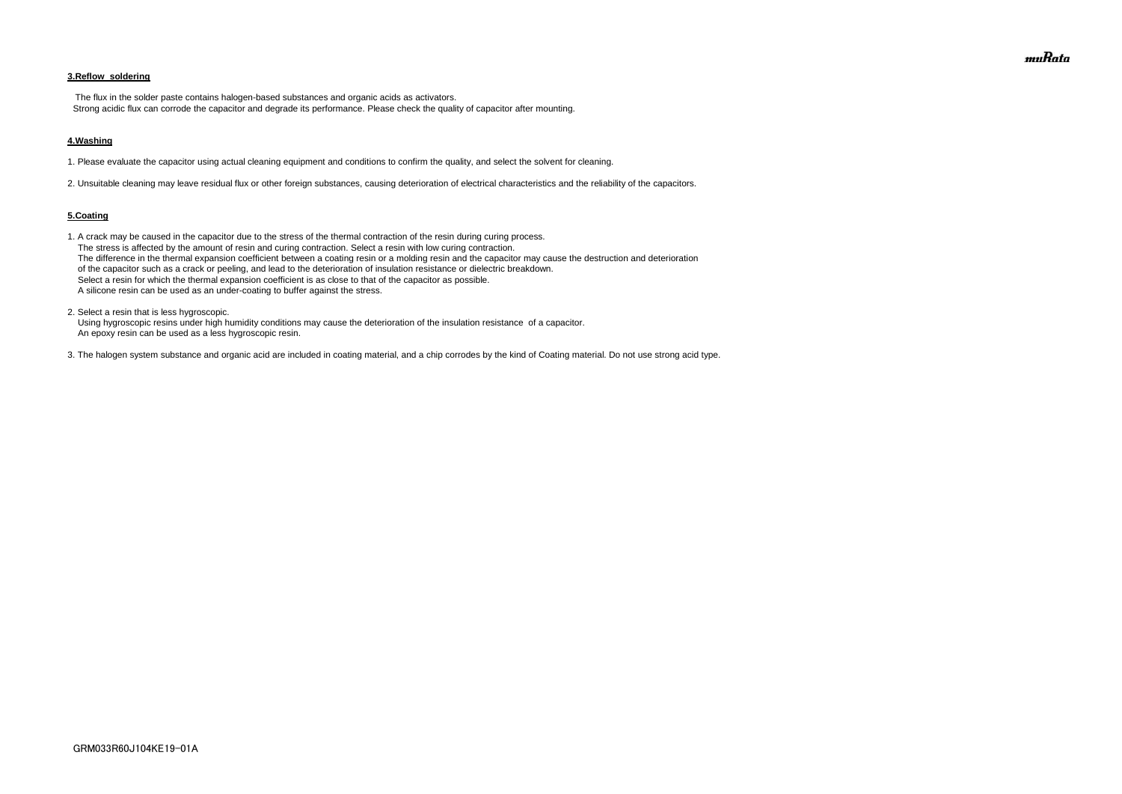## **3.Reflow soldering**

 The flux in the solder paste contains halogen-based substances and organic acids as activators. Strong acidic flux can corrode the capacitor and degrade its performance. Please check the quality of capacitor after mounting.

#### **4.Washing**

1. Please evaluate the capacitor using actual cleaning equipment and conditions to confirm the quality, and select the solvent for cleaning.

2. Unsuitable cleaning may leave residual flux or other foreign substances, causing deterioration of electrical characteristics and the reliability of the capacitors.

#### **5.Coating**

1. A crack may be caused in the capacitor due to the stress of the thermal contraction of the resin during curing process. The stress is affected by the amount of resin and curing contraction. Select a resin with low curing contraction. The difference in the thermal expansion coefficient between a coating resin or a molding resin and the capacitor may cause the destruction and deterioration of the capacitor such as a crack or peeling, and lead to the deterioration of insulation resistance or dielectric breakdown. Select a resin for which the thermal expansion coefficient is as close to that of the capacitor as possible. A silicone resin can be used as an under-coating to buffer against the stress.

2. Select a resin that is less hygroscopic.

 Using hygroscopic resins under high humidity conditions may cause the deterioration of the insulation resistance of a capacitor. An epoxy resin can be used as a less hygroscopic resin.

3. The halogen system substance and organic acid are included in coating material, and a chip corrodes by the kind of Coating material. Do not use strong acid type.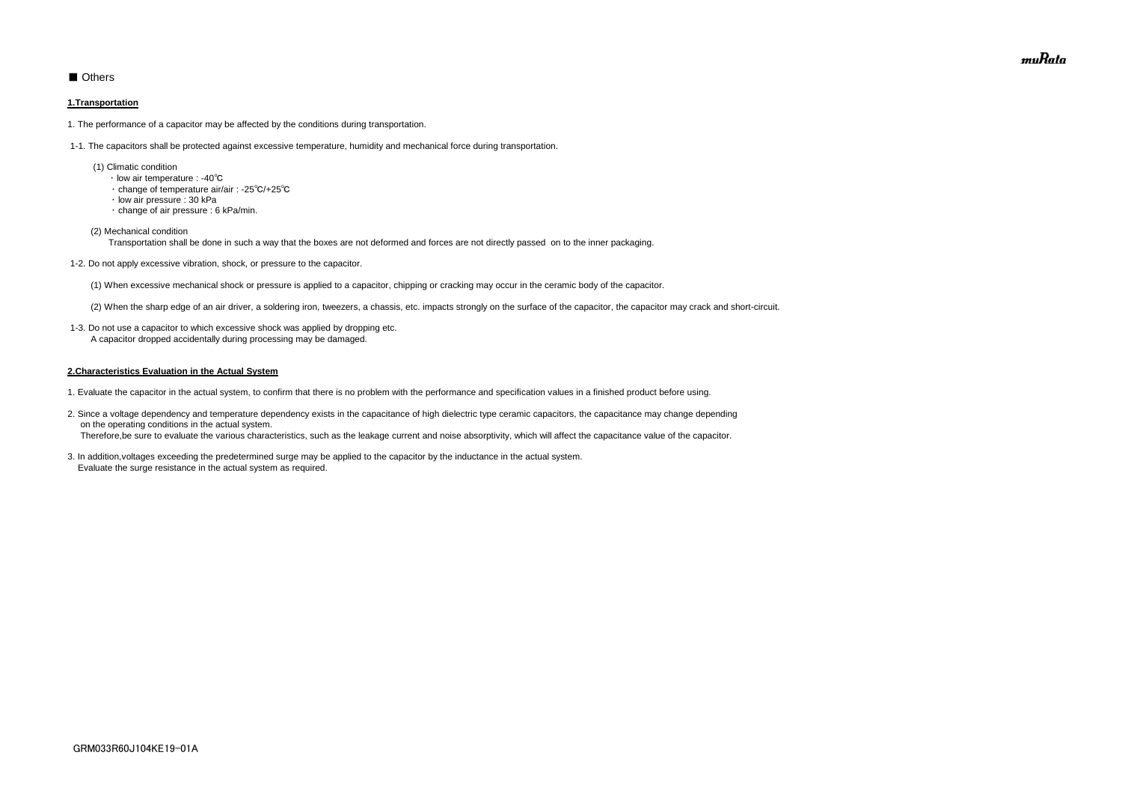# ■ Others

### **1.Transportation**

1. The performance of a capacitor may be affected by the conditions during transportation.

1-1. The capacitors shall be protected against excessive temperature, humidity and mechanical force during transportation.

- (1) Climatic condition
	- ・ low air temperature : -40℃
	- ・ change of temperature air/air : -25℃/+25℃
	- ・ low air pressure : 30 kPa
	- ・ change of air pressure : 6 kPa/min.

(2) Mechanical condition

Transportation shall be done in such a way that the boxes are not deformed and forces are not directly passed on to the inner packaging.

1-2. Do not apply excessive vibration, shock, or pressure to the capacitor.

(1) When excessive mechanical shock or pressure is applied to a capacitor, chipping or cracking may occur in the ceramic body of the capacitor.

(2) When the sharp edge of an air driver, a soldering iron, tweezers, a chassis, etc. impacts strongly on the surface of the capacitor, the capacitor may crack and short-circuit.

 1-3. Do not use a capacitor to which excessive shock was applied by dropping etc. A capacitor dropped accidentally during processing may be damaged.

## **2.Characteristics Evaluation in the Actual System**

- 1. Evaluate the capacitor in the actual system, to confirm that there is no problem with the performance and specification values in a finished product before using.
- 2. Since a voltage dependency and temperature dependency exists in the capacitance of high dielectric type ceramic capacitors, the capacitance may change depending on the operating conditions in the actual system. Therefore,be sure to evaluate the various characteristics, such as the leakage current and noise absorptivity, which will affect the capacitance value of the capacitor.
- 3. In addition,voltages exceeding the predetermined surge may be applied to the capacitor by the inductance in the actual system. Evaluate the surge resistance in the actual system as required.

muRata